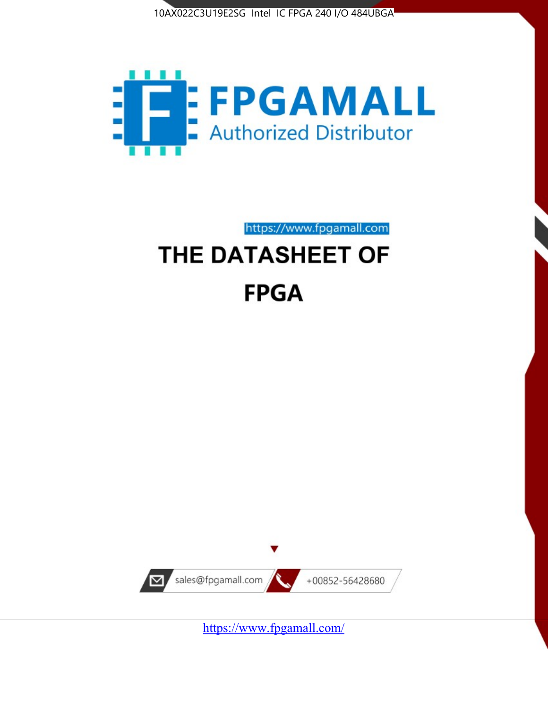



# https://www.fpgamall.com THE DATASHEET OF

# **FPGA**



<https://www.fpgamall.com/>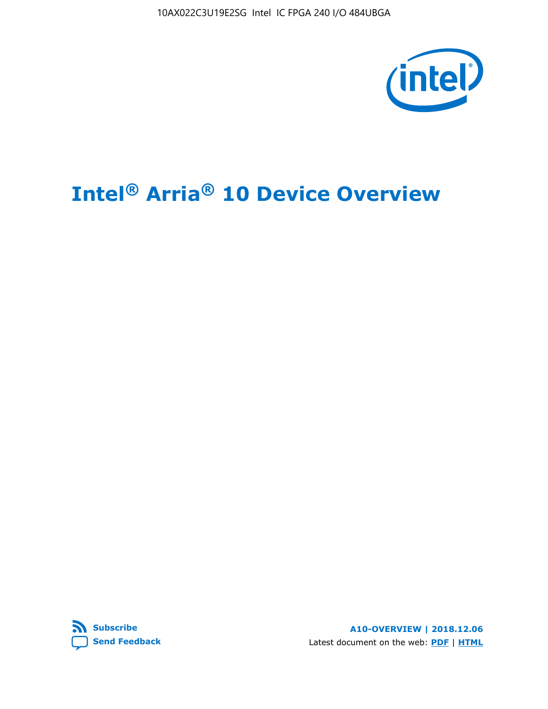10AX022C3U19E2SG Intel IC FPGA 240 I/O 484UBGA



# **Intel® Arria® 10 Device Overview**



**A10-OVERVIEW | 2018.12.06** Latest document on the web: **[PDF](https://www.intel.com/content/dam/www/programmable/us/en/pdfs/literature/hb/arria-10/a10_overview.pdf)** | **[HTML](https://www.intel.com/content/www/us/en/programmable/documentation/sam1403480274650.html)**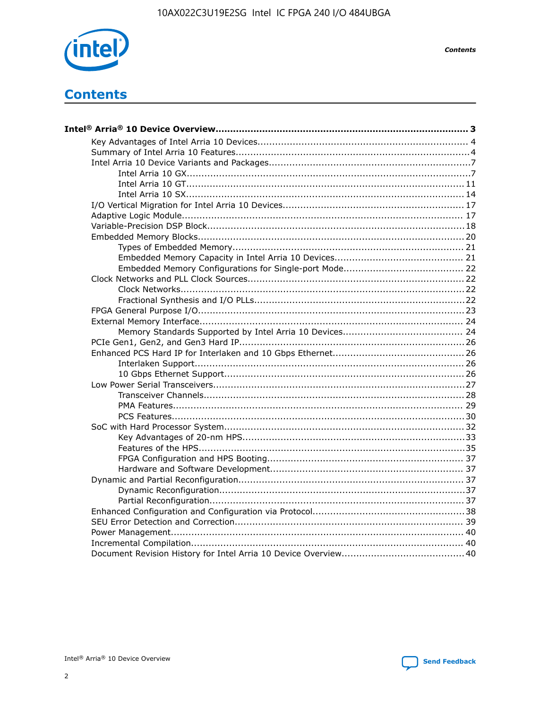

**Contents** 

# **Contents**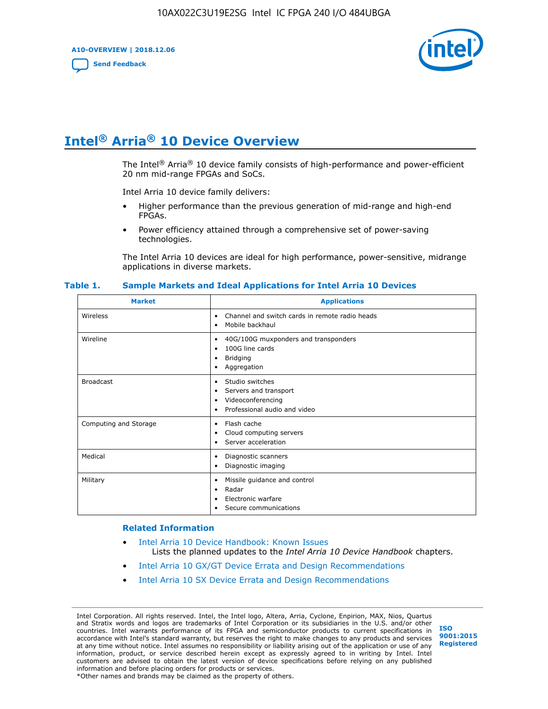**A10-OVERVIEW | 2018.12.06**

**[Send Feedback](mailto:FPGAtechdocfeedback@intel.com?subject=Feedback%20on%20Intel%20Arria%2010%20Device%20Overview%20(A10-OVERVIEW%202018.12.06)&body=We%20appreciate%20your%20feedback.%20In%20your%20comments,%20also%20specify%20the%20page%20number%20or%20paragraph.%20Thank%20you.)**



# **Intel® Arria® 10 Device Overview**

The Intel<sup>®</sup> Arria<sup>®</sup> 10 device family consists of high-performance and power-efficient 20 nm mid-range FPGAs and SoCs.

Intel Arria 10 device family delivers:

- Higher performance than the previous generation of mid-range and high-end FPGAs.
- Power efficiency attained through a comprehensive set of power-saving technologies.

The Intel Arria 10 devices are ideal for high performance, power-sensitive, midrange applications in diverse markets.

| <b>Market</b>         | <b>Applications</b>                                                                                               |
|-----------------------|-------------------------------------------------------------------------------------------------------------------|
| Wireless              | Channel and switch cards in remote radio heads<br>٠<br>Mobile backhaul<br>٠                                       |
| Wireline              | 40G/100G muxponders and transponders<br>٠<br>100G line cards<br>٠<br>Bridging<br>٠<br>Aggregation<br>٠            |
| <b>Broadcast</b>      | Studio switches<br>٠<br>Servers and transport<br>٠<br>Videoconferencing<br>٠<br>Professional audio and video<br>٠ |
| Computing and Storage | Flash cache<br>٠<br>Cloud computing servers<br>٠<br>Server acceleration<br>$\bullet$                              |
| Medical               | Diagnostic scanners<br>٠<br>Diagnostic imaging<br>٠                                                               |
| Military              | Missile guidance and control<br>٠<br>Radar<br>٠<br>Electronic warfare<br>٠<br>Secure communications<br>٠          |

#### **Table 1. Sample Markets and Ideal Applications for Intel Arria 10 Devices**

#### **Related Information**

- [Intel Arria 10 Device Handbook: Known Issues](http://www.altera.com/support/kdb/solutions/rd07302013_646.html) Lists the planned updates to the *Intel Arria 10 Device Handbook* chapters.
- [Intel Arria 10 GX/GT Device Errata and Design Recommendations](https://www.intel.com/content/www/us/en/programmable/documentation/agz1493851706374.html#yqz1494433888646)
- [Intel Arria 10 SX Device Errata and Design Recommendations](https://www.intel.com/content/www/us/en/programmable/documentation/cru1462832385668.html#cru1462832558642)

Intel Corporation. All rights reserved. Intel, the Intel logo, Altera, Arria, Cyclone, Enpirion, MAX, Nios, Quartus and Stratix words and logos are trademarks of Intel Corporation or its subsidiaries in the U.S. and/or other countries. Intel warrants performance of its FPGA and semiconductor products to current specifications in accordance with Intel's standard warranty, but reserves the right to make changes to any products and services at any time without notice. Intel assumes no responsibility or liability arising out of the application or use of any information, product, or service described herein except as expressly agreed to in writing by Intel. Intel customers are advised to obtain the latest version of device specifications before relying on any published information and before placing orders for products or services. \*Other names and brands may be claimed as the property of others.

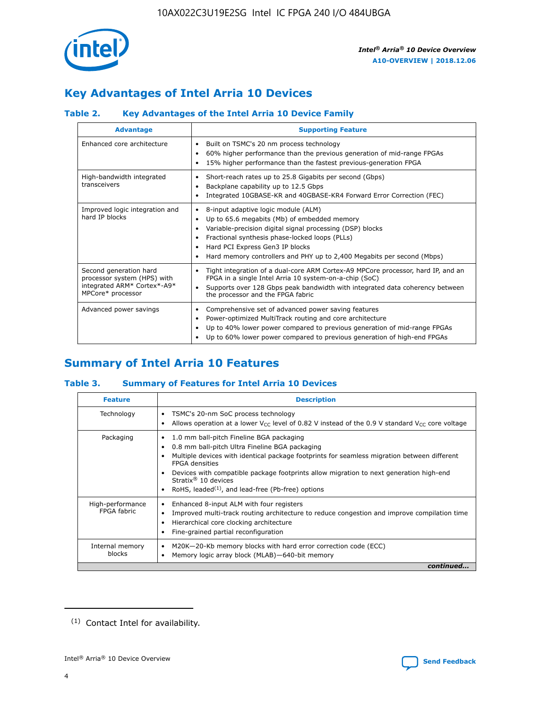

# **Key Advantages of Intel Arria 10 Devices**

# **Table 2. Key Advantages of the Intel Arria 10 Device Family**

| <b>Advantage</b>                                                                                          | <b>Supporting Feature</b>                                                                                                                                                                                                                                                                                                |  |  |  |  |  |  |
|-----------------------------------------------------------------------------------------------------------|--------------------------------------------------------------------------------------------------------------------------------------------------------------------------------------------------------------------------------------------------------------------------------------------------------------------------|--|--|--|--|--|--|
| Enhanced core architecture                                                                                | Built on TSMC's 20 nm process technology<br>٠<br>60% higher performance than the previous generation of mid-range FPGAs<br>٠<br>15% higher performance than the fastest previous-generation FPGA<br>٠                                                                                                                    |  |  |  |  |  |  |
| High-bandwidth integrated<br>transceivers                                                                 | Short-reach rates up to 25.8 Gigabits per second (Gbps)<br>٠<br>Backplane capability up to 12.5 Gbps<br>٠<br>Integrated 10GBASE-KR and 40GBASE-KR4 Forward Error Correction (FEC)<br>٠                                                                                                                                   |  |  |  |  |  |  |
| Improved logic integration and<br>hard IP blocks                                                          | 8-input adaptive logic module (ALM)<br>٠<br>Up to 65.6 megabits (Mb) of embedded memory<br>٠<br>Variable-precision digital signal processing (DSP) blocks<br>Fractional synthesis phase-locked loops (PLLs)<br>Hard PCI Express Gen3 IP blocks<br>Hard memory controllers and PHY up to 2,400 Megabits per second (Mbps) |  |  |  |  |  |  |
| Second generation hard<br>processor system (HPS) with<br>integrated ARM* Cortex*-A9*<br>MPCore* processor | Tight integration of a dual-core ARM Cortex-A9 MPCore processor, hard IP, and an<br>٠<br>FPGA in a single Intel Arria 10 system-on-a-chip (SoC)<br>Supports over 128 Gbps peak bandwidth with integrated data coherency between<br>$\bullet$<br>the processor and the FPGA fabric                                        |  |  |  |  |  |  |
| Advanced power savings                                                                                    | Comprehensive set of advanced power saving features<br>٠<br>Power-optimized MultiTrack routing and core architecture<br>٠<br>Up to 40% lower power compared to previous generation of mid-range FPGAs<br>٠<br>Up to 60% lower power compared to previous generation of high-end FPGAs                                    |  |  |  |  |  |  |

# **Summary of Intel Arria 10 Features**

## **Table 3. Summary of Features for Intel Arria 10 Devices**

| <b>Feature</b>                  | <b>Description</b>                                                                                                                                                                                                                                                                                                                                                                                       |
|---------------------------------|----------------------------------------------------------------------------------------------------------------------------------------------------------------------------------------------------------------------------------------------------------------------------------------------------------------------------------------------------------------------------------------------------------|
| Technology                      | TSMC's 20-nm SoC process technology<br>٠<br>Allows operation at a lower $V_{\text{CC}}$ level of 0.82 V instead of the 0.9 V standard $V_{\text{CC}}$ core voltage                                                                                                                                                                                                                                       |
| Packaging                       | 1.0 mm ball-pitch Fineline BGA packaging<br>0.8 mm ball-pitch Ultra Fineline BGA packaging<br>Multiple devices with identical package footprints for seamless migration between different<br><b>FPGA</b> densities<br>Devices with compatible package footprints allow migration to next generation high-end<br>Stratix $\mathcal{R}$ 10 devices<br>RoHS, leaded $(1)$ , and lead-free (Pb-free) options |
| High-performance<br>FPGA fabric | Enhanced 8-input ALM with four registers<br>٠<br>Improved multi-track routing architecture to reduce congestion and improve compilation time<br>Hierarchical core clocking architecture<br>Fine-grained partial reconfiguration                                                                                                                                                                          |
| Internal memory<br>blocks       | M20K-20-Kb memory blocks with hard error correction code (ECC)<br>Memory logic array block (MLAB)-640-bit memory                                                                                                                                                                                                                                                                                         |
|                                 | continued                                                                                                                                                                                                                                                                                                                                                                                                |



<sup>(1)</sup> Contact Intel for availability.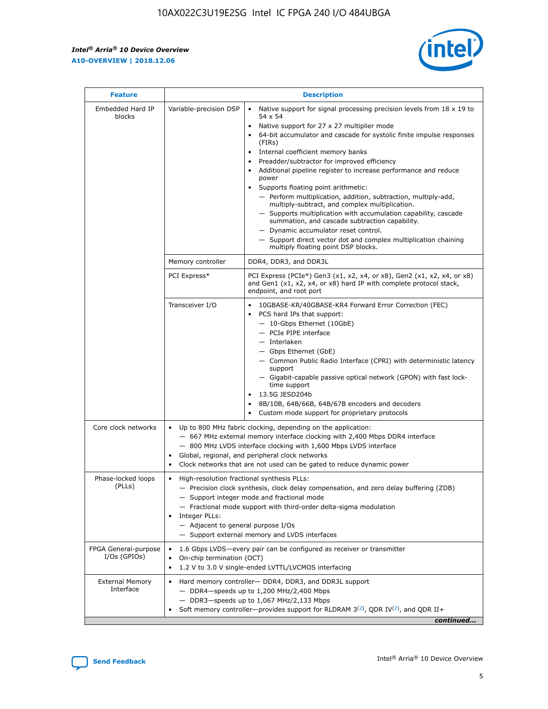r



| <b>Feature</b>                         | <b>Description</b>                                                                                             |                                                                                                                                                                                                                                                                                                                                                                                                                                                                                                                                                                                                                                                                                                                                                                                                                                        |  |  |  |  |  |
|----------------------------------------|----------------------------------------------------------------------------------------------------------------|----------------------------------------------------------------------------------------------------------------------------------------------------------------------------------------------------------------------------------------------------------------------------------------------------------------------------------------------------------------------------------------------------------------------------------------------------------------------------------------------------------------------------------------------------------------------------------------------------------------------------------------------------------------------------------------------------------------------------------------------------------------------------------------------------------------------------------------|--|--|--|--|--|
| Embedded Hard IP<br>blocks             | Variable-precision DSP                                                                                         | Native support for signal processing precision levels from $18 \times 19$ to<br>54 x 54<br>Native support for 27 x 27 multiplier mode<br>64-bit accumulator and cascade for systolic finite impulse responses<br>(FIRs)<br>Internal coefficient memory banks<br>$\bullet$<br>Preadder/subtractor for improved efficiency<br>Additional pipeline register to increase performance and reduce<br>power<br>Supports floating point arithmetic:<br>- Perform multiplication, addition, subtraction, multiply-add,<br>multiply-subtract, and complex multiplication.<br>- Supports multiplication with accumulation capability, cascade<br>summation, and cascade subtraction capability.<br>- Dynamic accumulator reset control.<br>- Support direct vector dot and complex multiplication chaining<br>multiply floating point DSP blocks. |  |  |  |  |  |
|                                        | Memory controller                                                                                              | DDR4, DDR3, and DDR3L                                                                                                                                                                                                                                                                                                                                                                                                                                                                                                                                                                                                                                                                                                                                                                                                                  |  |  |  |  |  |
|                                        | PCI Express*                                                                                                   | PCI Express (PCIe*) Gen3 (x1, x2, x4, or x8), Gen2 (x1, x2, x4, or x8)<br>and Gen1 (x1, x2, x4, or x8) hard IP with complete protocol stack,<br>endpoint, and root port                                                                                                                                                                                                                                                                                                                                                                                                                                                                                                                                                                                                                                                                |  |  |  |  |  |
|                                        | Transceiver I/O                                                                                                | 10GBASE-KR/40GBASE-KR4 Forward Error Correction (FEC)<br>PCS hard IPs that support:<br>$\bullet$<br>- 10-Gbps Ethernet (10GbE)<br>- PCIe PIPE interface<br>$-$ Interlaken<br>- Gbps Ethernet (GbE)<br>- Common Public Radio Interface (CPRI) with deterministic latency<br>support<br>- Gigabit-capable passive optical network (GPON) with fast lock-<br>time support<br>13.5G JESD204b<br>$\bullet$<br>8B/10B, 64B/66B, 64B/67B encoders and decoders<br>Custom mode support for proprietary protocols                                                                                                                                                                                                                                                                                                                               |  |  |  |  |  |
| Core clock networks                    | $\bullet$<br>$\bullet$                                                                                         | Up to 800 MHz fabric clocking, depending on the application:<br>- 667 MHz external memory interface clocking with 2,400 Mbps DDR4 interface<br>- 800 MHz LVDS interface clocking with 1,600 Mbps LVDS interface<br>Global, regional, and peripheral clock networks<br>Clock networks that are not used can be gated to reduce dynamic power                                                                                                                                                                                                                                                                                                                                                                                                                                                                                            |  |  |  |  |  |
| Phase-locked loops<br>(PLLs)           | High-resolution fractional synthesis PLLs:<br>$\bullet$<br>Integer PLLs:<br>- Adjacent to general purpose I/Os | - Precision clock synthesis, clock delay compensation, and zero delay buffering (ZDB)<br>- Support integer mode and fractional mode<br>- Fractional mode support with third-order delta-sigma modulation<br>- Support external memory and LVDS interfaces                                                                                                                                                                                                                                                                                                                                                                                                                                                                                                                                                                              |  |  |  |  |  |
| FPGA General-purpose<br>$I/Os$ (GPIOs) | On-chip termination (OCT)                                                                                      | 1.6 Gbps LVDS-every pair can be configured as receiver or transmitter<br>1.2 V to 3.0 V single-ended LVTTL/LVCMOS interfacing                                                                                                                                                                                                                                                                                                                                                                                                                                                                                                                                                                                                                                                                                                          |  |  |  |  |  |
| <b>External Memory</b><br>Interface    |                                                                                                                | Hard memory controller- DDR4, DDR3, and DDR3L support<br>$-$ DDR4 $-$ speeds up to 1,200 MHz/2,400 Mbps<br>- DDR3-speeds up to 1,067 MHz/2,133 Mbps<br>Soft memory controller—provides support for RLDRAM $3^{(2)}$ , QDR IV $^{(2)}$ , and QDR II+<br>continued                                                                                                                                                                                                                                                                                                                                                                                                                                                                                                                                                                       |  |  |  |  |  |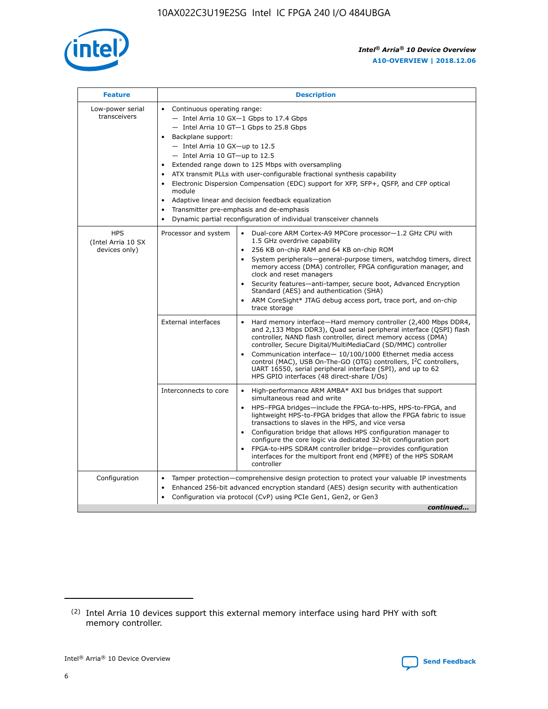

| <b>Feature</b>                                    | <b>Description</b>                                                                                                                                                                                                                                                                                                                                                                                                                                                                                                                                                                                                                                                        |
|---------------------------------------------------|---------------------------------------------------------------------------------------------------------------------------------------------------------------------------------------------------------------------------------------------------------------------------------------------------------------------------------------------------------------------------------------------------------------------------------------------------------------------------------------------------------------------------------------------------------------------------------------------------------------------------------------------------------------------------|
| Low-power serial<br>transceivers                  | • Continuous operating range:<br>- Intel Arria 10 GX-1 Gbps to 17.4 Gbps<br>$-$ Intel Arria 10 GT $-1$ Gbps to 25.8 Gbps<br>Backplane support:<br>$\bullet$<br>$-$ Intel Arria 10 GX-up to 12.5<br>$-$ Intel Arria 10 GT-up to 12.5<br>Extended range down to 125 Mbps with oversampling<br>ATX transmit PLLs with user-configurable fractional synthesis capability<br>Electronic Dispersion Compensation (EDC) support for XFP, SFP+, OSFP, and CFP optical<br>module<br>Adaptive linear and decision feedback equalization<br>$\bullet$<br>Transmitter pre-emphasis and de-emphasis<br>$\bullet$<br>Dynamic partial reconfiguration of individual transceiver channels |
| <b>HPS</b><br>(Intel Arria 10 SX<br>devices only) | Dual-core ARM Cortex-A9 MPCore processor-1.2 GHz CPU with<br>Processor and system<br>$\bullet$<br>1.5 GHz overdrive capability<br>256 KB on-chip RAM and 64 KB on-chip ROM<br>System peripherals-general-purpose timers, watchdog timers, direct<br>memory access (DMA) controller, FPGA configuration manager, and<br>clock and reset managers<br>• Security features—anti-tamper, secure boot, Advanced Encryption<br>Standard (AES) and authentication (SHA)<br>ARM CoreSight* JTAG debug access port, trace port, and on-chip<br>$\bullet$<br>trace storage                                                                                                           |
|                                                   | <b>External interfaces</b><br>Hard memory interface—Hard memory controller (2,400 Mbps DDR4,<br>and 2,133 Mbps DDR3), Quad serial peripheral interface (QSPI) flash<br>controller, NAND flash controller, direct memory access (DMA)<br>controller, Secure Digital/MultiMediaCard (SD/MMC) controller<br>Communication interface-10/100/1000 Ethernet media access<br>$\bullet$<br>control (MAC), USB On-The-GO (OTG) controllers, I <sup>2</sup> C controllers,<br>UART 16550, serial peripheral interface (SPI), and up to 62<br>HPS GPIO interfaces (48 direct-share I/Os)                                                                                             |
|                                                   | Interconnects to core<br>• High-performance ARM AMBA* AXI bus bridges that support<br>simultaneous read and write<br>HPS-FPGA bridges-include the FPGA-to-HPS, HPS-to-FPGA, and<br>$\bullet$<br>lightweight HPS-to-FPGA bridges that allow the FPGA fabric to issue<br>transactions to slaves in the HPS, and vice versa<br>Configuration bridge that allows HPS configuration manager to<br>configure the core logic via dedicated 32-bit configuration port<br>FPGA-to-HPS SDRAM controller bridge-provides configuration<br>interfaces for the multiport front end (MPFE) of the HPS SDRAM<br>controller                                                               |
| Configuration                                     | Tamper protection—comprehensive design protection to protect your valuable IP investments<br>Enhanced 256-bit advanced encryption standard (AES) design security with authentication<br>$\bullet$<br>Configuration via protocol (CvP) using PCIe Gen1, Gen2, or Gen3<br>continued                                                                                                                                                                                                                                                                                                                                                                                         |

<sup>(2)</sup> Intel Arria 10 devices support this external memory interface using hard PHY with soft memory controller.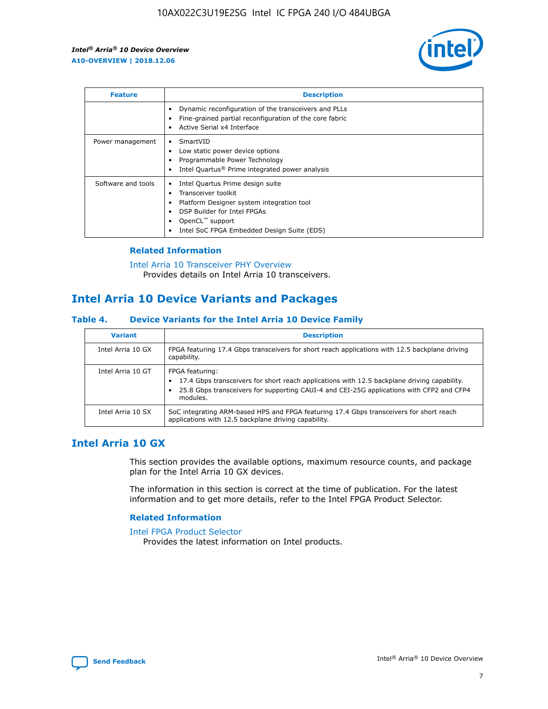

| <b>Feature</b>     | <b>Description</b>                                                                                                                                                                                                            |
|--------------------|-------------------------------------------------------------------------------------------------------------------------------------------------------------------------------------------------------------------------------|
|                    | Dynamic reconfiguration of the transceivers and PLLs<br>Fine-grained partial reconfiguration of the core fabric<br>Active Serial x4 Interface<br>$\bullet$                                                                    |
| Power management   | SmartVID<br>Low static power device options<br>Programmable Power Technology<br>Intel Quartus <sup>®</sup> Prime integrated power analysis                                                                                    |
| Software and tools | Intel Quartus Prime design suite<br>Transceiver toolkit<br>$\bullet$<br>Platform Designer system integration tool<br>DSP Builder for Intel FPGAs<br>OpenCL <sup>™</sup> support<br>Intel SoC FPGA Embedded Design Suite (EDS) |

## **Related Information**

#### [Intel Arria 10 Transceiver PHY Overview](https://www.intel.com/content/www/us/en/programmable/documentation/nik1398707230472.html#nik1398706768037) Provides details on Intel Arria 10 transceivers.

# **Intel Arria 10 Device Variants and Packages**

#### **Table 4. Device Variants for the Intel Arria 10 Device Family**

| <b>Variant</b>    | <b>Description</b>                                                                                                                                                                                                     |
|-------------------|------------------------------------------------------------------------------------------------------------------------------------------------------------------------------------------------------------------------|
| Intel Arria 10 GX | FPGA featuring 17.4 Gbps transceivers for short reach applications with 12.5 backplane driving<br>capability.                                                                                                          |
| Intel Arria 10 GT | FPGA featuring:<br>17.4 Gbps transceivers for short reach applications with 12.5 backplane driving capability.<br>25.8 Gbps transceivers for supporting CAUI-4 and CEI-25G applications with CFP2 and CFP4<br>modules. |
| Intel Arria 10 SX | SoC integrating ARM-based HPS and FPGA featuring 17.4 Gbps transceivers for short reach<br>applications with 12.5 backplane driving capability.                                                                        |

# **Intel Arria 10 GX**

This section provides the available options, maximum resource counts, and package plan for the Intel Arria 10 GX devices.

The information in this section is correct at the time of publication. For the latest information and to get more details, refer to the Intel FPGA Product Selector.

## **Related Information**

#### [Intel FPGA Product Selector](http://www.altera.com/products/selector/psg-selector.html) Provides the latest information on Intel products.

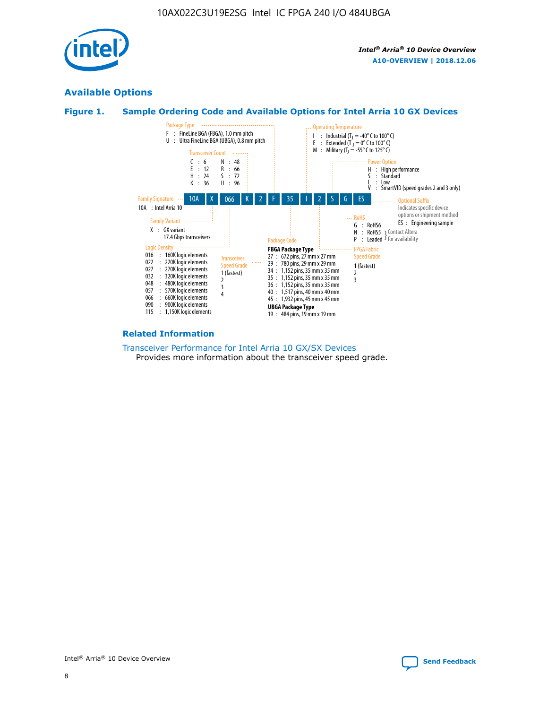

# **Available Options**





## **Related Information**

#### [Transceiver Performance for Intel Arria 10 GX/SX Devices](https://www.intel.com/content/www/us/en/programmable/documentation/mcn1413182292568.html#mcn1413213965502) Provides more information about the transceiver speed grade.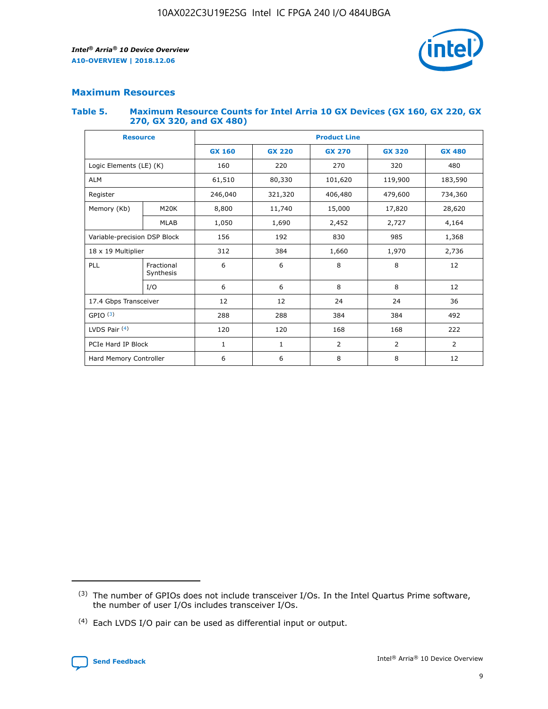

# **Maximum Resources**

#### **Table 5. Maximum Resource Counts for Intel Arria 10 GX Devices (GX 160, GX 220, GX 270, GX 320, and GX 480)**

| <b>Resource</b>         |                                                          | <b>Product Line</b> |                                                 |            |                |                |  |  |  |
|-------------------------|----------------------------------------------------------|---------------------|-------------------------------------------------|------------|----------------|----------------|--|--|--|
|                         |                                                          | <b>GX 160</b>       | <b>GX 220</b><br><b>GX 270</b><br><b>GX 320</b> |            |                | <b>GX 480</b>  |  |  |  |
| Logic Elements (LE) (K) |                                                          | 160                 | 220                                             | 270        | 320            | 480            |  |  |  |
| <b>ALM</b>              |                                                          | 61,510              | 80,330                                          | 101,620    | 119,900        | 183,590        |  |  |  |
| Register                |                                                          | 246,040             | 321,320                                         | 406,480    | 479,600        | 734,360        |  |  |  |
| Memory (Kb)             | M <sub>20</sub> K                                        | 8,800               | 11,740                                          | 15,000     | 17,820         | 28,620         |  |  |  |
| <b>MLAB</b>             |                                                          | 1,050               | 1,690                                           | 2,452      | 2,727          | 4,164          |  |  |  |
|                         | Variable-precision DSP Block<br>156<br>192<br>830<br>985 |                     |                                                 |            | 1,368          |                |  |  |  |
| 18 x 19 Multiplier      |                                                          | 312                 | 384                                             | 1,660      | 1,970          | 2,736          |  |  |  |
| PLL                     | Fractional<br>Synthesis                                  | 6                   | 6                                               | 8          | 8              | 12             |  |  |  |
|                         | I/O                                                      | 6                   | 6                                               | 8          | 8              | 12             |  |  |  |
| 17.4 Gbps Transceiver   |                                                          | 12                  | 12                                              | 24         | 24             |                |  |  |  |
| GPIO <sup>(3)</sup>     |                                                          | 288                 | 288                                             | 384<br>384 |                | 492            |  |  |  |
| LVDS Pair $(4)$         |                                                          | 120                 | 120                                             | 168        | 168            | 222            |  |  |  |
| PCIe Hard IP Block      |                                                          | 1                   | 1                                               | 2          | $\overline{2}$ | $\overline{2}$ |  |  |  |
| Hard Memory Controller  |                                                          | 6                   | 6                                               | 8          | 8              | 12             |  |  |  |

<sup>(4)</sup> Each LVDS I/O pair can be used as differential input or output.



<sup>(3)</sup> The number of GPIOs does not include transceiver I/Os. In the Intel Quartus Prime software, the number of user I/Os includes transceiver I/Os.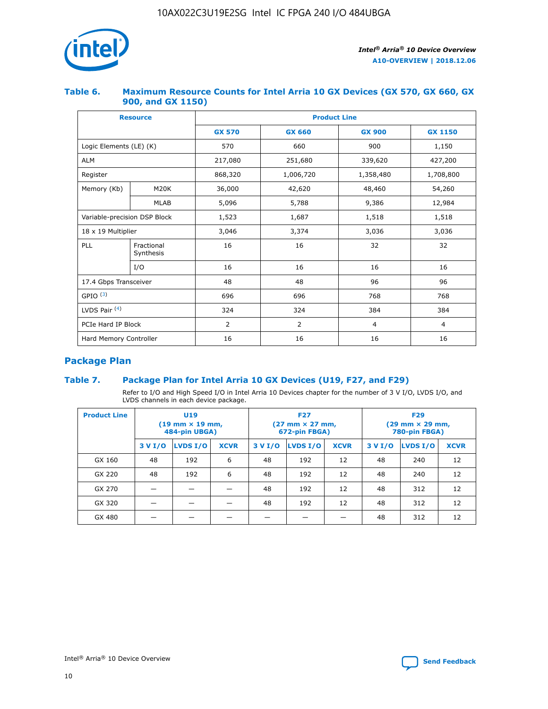

## **Table 6. Maximum Resource Counts for Intel Arria 10 GX Devices (GX 570, GX 660, GX 900, and GX 1150)**

|                              | <b>Resource</b>         | <b>Product Line</b> |                |                |                |  |  |  |
|------------------------------|-------------------------|---------------------|----------------|----------------|----------------|--|--|--|
|                              |                         | <b>GX 570</b>       | <b>GX 660</b>  | <b>GX 900</b>  | <b>GX 1150</b> |  |  |  |
| Logic Elements (LE) (K)      |                         | 570                 | 660            | 900            | 1,150          |  |  |  |
| <b>ALM</b>                   |                         | 217,080             | 251,680        | 339,620        | 427,200        |  |  |  |
| Register                     |                         | 868,320             | 1,006,720      | 1,358,480      | 1,708,800      |  |  |  |
| Memory (Kb)                  | <b>M20K</b>             | 36,000              | 42,620         | 48,460         | 54,260         |  |  |  |
|                              | <b>MLAB</b>             | 5,096               | 5,788<br>9,386 |                | 12,984         |  |  |  |
| Variable-precision DSP Block |                         | 1,523               | 1,687          | 1,518          | 1,518          |  |  |  |
| $18 \times 19$ Multiplier    |                         | 3,046               | 3,374          | 3,036          | 3,036          |  |  |  |
| PLL                          | Fractional<br>Synthesis | 16                  | 16             | 32             | 32             |  |  |  |
|                              | I/O                     | 16                  | 16             | 16             | 16             |  |  |  |
| 17.4 Gbps Transceiver        |                         | 48                  | 48             |                | 96             |  |  |  |
| GPIO <sup>(3)</sup>          |                         | 696                 | 696            | 768            | 768            |  |  |  |
| LVDS Pair $(4)$              |                         | 324                 | 324            |                | 384            |  |  |  |
| PCIe Hard IP Block           |                         | 2                   | $\overline{2}$ | $\overline{4}$ | 4              |  |  |  |
| Hard Memory Controller       |                         | 16                  | 16             | 16             | 16             |  |  |  |

# **Package Plan**

# **Table 7. Package Plan for Intel Arria 10 GX Devices (U19, F27, and F29)**

Refer to I/O and High Speed I/O in Intel Arria 10 Devices chapter for the number of 3 V I/O, LVDS I/O, and LVDS channels in each device package.

| <b>Product Line</b> | U <sub>19</sub><br>$(19 \text{ mm} \times 19 \text{ mm})$<br>484-pin UBGA) |          |             |         | <b>F27</b><br>(27 mm × 27 mm,<br>672-pin FBGA) |             | <b>F29</b><br>(29 mm × 29 mm,<br>780-pin FBGA) |          |             |  |
|---------------------|----------------------------------------------------------------------------|----------|-------------|---------|------------------------------------------------|-------------|------------------------------------------------|----------|-------------|--|
|                     | 3 V I/O                                                                    | LVDS I/O | <b>XCVR</b> | 3 V I/O | <b>LVDS I/O</b>                                | <b>XCVR</b> | 3 V I/O                                        | LVDS I/O | <b>XCVR</b> |  |
| GX 160              | 48                                                                         | 192      | 6           | 48      | 192                                            | 12          | 48                                             | 240      | 12          |  |
| GX 220              | 48                                                                         | 192      | 6           | 48      | 192                                            | 12          | 48                                             | 240      | 12          |  |
| GX 270              |                                                                            |          |             | 48      | 192                                            | 12          | 48                                             | 312      | 12          |  |
| GX 320              |                                                                            |          |             | 48      | 192                                            | 12          | 48                                             | 312      | 12          |  |
| GX 480              |                                                                            |          |             |         |                                                |             | 48                                             | 312      | 12          |  |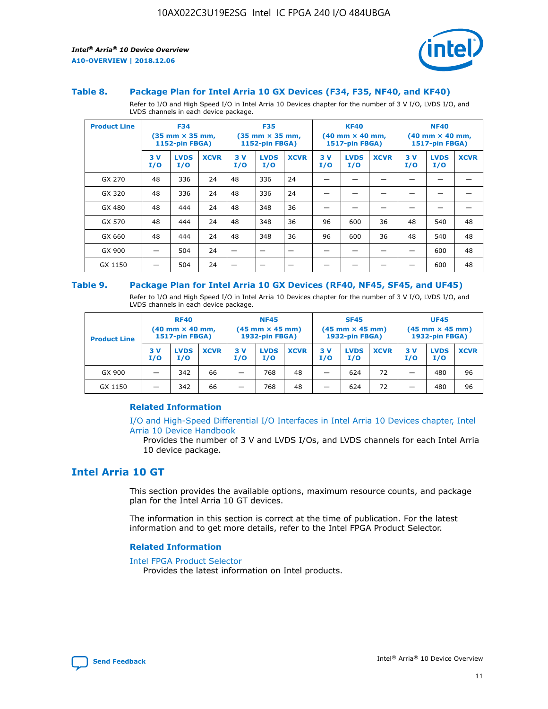

#### **Table 8. Package Plan for Intel Arria 10 GX Devices (F34, F35, NF40, and KF40)**

Refer to I/O and High Speed I/O in Intel Arria 10 Devices chapter for the number of 3 V I/O, LVDS I/O, and LVDS channels in each device package.

| <b>Product Line</b> | <b>F34</b><br>$(35 \text{ mm} \times 35 \text{ mm})$<br>1152-pin FBGA) |                    | <b>F35</b><br>$(35 \text{ mm} \times 35 \text{ mm})$<br><b>1152-pin FBGA)</b> |           | <b>KF40</b><br>$(40$ mm $\times$ 40 mm,<br>1517-pin FBGA) |             |           | <b>NF40</b><br>$(40$ mm $\times$ 40 mm,<br><b>1517-pin FBGA)</b> |             |            |                    |             |
|---------------------|------------------------------------------------------------------------|--------------------|-------------------------------------------------------------------------------|-----------|-----------------------------------------------------------|-------------|-----------|------------------------------------------------------------------|-------------|------------|--------------------|-------------|
|                     | 3V<br>I/O                                                              | <b>LVDS</b><br>I/O | <b>XCVR</b>                                                                   | 3V<br>I/O | <b>LVDS</b><br>I/O                                        | <b>XCVR</b> | 3V<br>I/O | <b>LVDS</b><br>I/O                                               | <b>XCVR</b> | 3 V<br>I/O | <b>LVDS</b><br>I/O | <b>XCVR</b> |
| GX 270              | 48                                                                     | 336                | 24                                                                            | 48        | 336                                                       | 24          |           |                                                                  |             |            |                    |             |
| GX 320              | 48                                                                     | 336                | 24                                                                            | 48        | 336                                                       | 24          |           |                                                                  |             |            |                    |             |
| GX 480              | 48                                                                     | 444                | 24                                                                            | 48        | 348                                                       | 36          |           |                                                                  |             |            |                    |             |
| GX 570              | 48                                                                     | 444                | 24                                                                            | 48        | 348                                                       | 36          | 96        | 600                                                              | 36          | 48         | 540                | 48          |
| GX 660              | 48                                                                     | 444                | 24                                                                            | 48        | 348                                                       | 36          | 96        | 600                                                              | 36          | 48         | 540                | 48          |
| GX 900              |                                                                        | 504                | 24                                                                            | -         |                                                           |             |           |                                                                  |             |            | 600                | 48          |
| GX 1150             |                                                                        | 504                | 24                                                                            |           |                                                           |             |           |                                                                  |             |            | 600                | 48          |

#### **Table 9. Package Plan for Intel Arria 10 GX Devices (RF40, NF45, SF45, and UF45)**

Refer to I/O and High Speed I/O in Intel Arria 10 Devices chapter for the number of 3 V I/O, LVDS I/O, and LVDS channels in each device package.

| <b>Product Line</b> | <b>RF40</b><br>$(40$ mm $\times$ 40 mm,<br>1517-pin FBGA) |                    | <b>NF45</b><br>$(45 \text{ mm} \times 45 \text{ mm})$<br><b>1932-pin FBGA)</b> |            |                    | <b>SF45</b><br>$(45 \text{ mm} \times 45 \text{ mm})$<br><b>1932-pin FBGA)</b> |            |                    | <b>UF45</b><br>$(45 \text{ mm} \times 45 \text{ mm})$<br><b>1932-pin FBGA)</b> |           |                    |             |
|---------------------|-----------------------------------------------------------|--------------------|--------------------------------------------------------------------------------|------------|--------------------|--------------------------------------------------------------------------------|------------|--------------------|--------------------------------------------------------------------------------|-----------|--------------------|-------------|
|                     | 3V<br>I/O                                                 | <b>LVDS</b><br>I/O | <b>XCVR</b>                                                                    | 3 V<br>I/O | <b>LVDS</b><br>I/O | <b>XCVR</b>                                                                    | 3 V<br>I/O | <b>LVDS</b><br>I/O | <b>XCVR</b>                                                                    | 3V<br>I/O | <b>LVDS</b><br>I/O | <b>XCVR</b> |
| GX 900              |                                                           | 342                | 66                                                                             | _          | 768                | 48                                                                             |            | 624                | 72                                                                             |           | 480                | 96          |
| GX 1150             |                                                           | 342                | 66                                                                             | _          | 768                | 48                                                                             |            | 624                | 72                                                                             |           | 480                | 96          |

## **Related Information**

[I/O and High-Speed Differential I/O Interfaces in Intel Arria 10 Devices chapter, Intel](https://www.intel.com/content/www/us/en/programmable/documentation/sam1403482614086.html#sam1403482030321) [Arria 10 Device Handbook](https://www.intel.com/content/www/us/en/programmable/documentation/sam1403482614086.html#sam1403482030321)

Provides the number of 3 V and LVDS I/Os, and LVDS channels for each Intel Arria 10 device package.

# **Intel Arria 10 GT**

This section provides the available options, maximum resource counts, and package plan for the Intel Arria 10 GT devices.

The information in this section is correct at the time of publication. For the latest information and to get more details, refer to the Intel FPGA Product Selector.

#### **Related Information**

#### [Intel FPGA Product Selector](http://www.altera.com/products/selector/psg-selector.html)

Provides the latest information on Intel products.

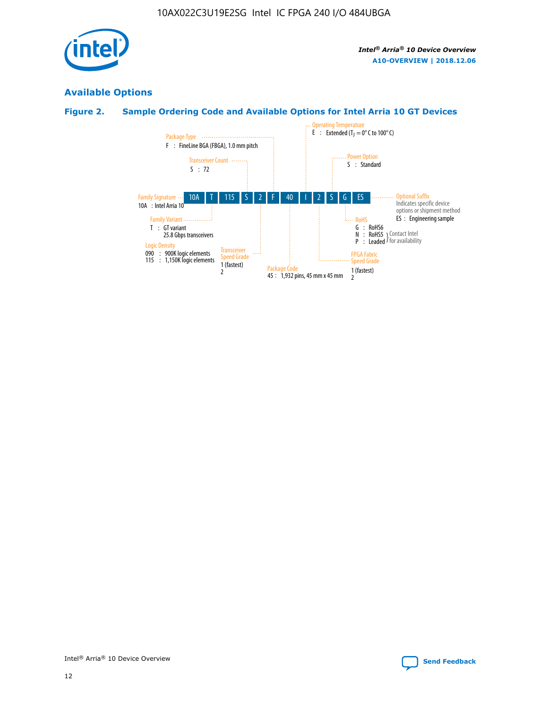

# **Available Options**

# **Figure 2. Sample Ordering Code and Available Options for Intel Arria 10 GT Devices**

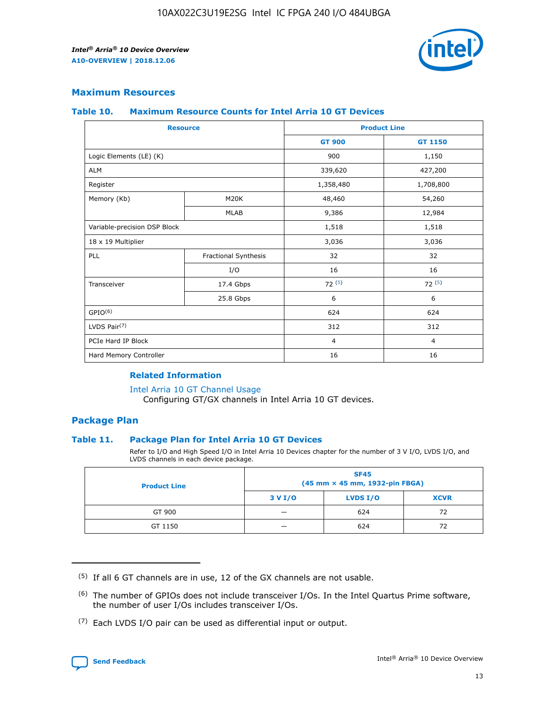

# **Maximum Resources**

#### **Table 10. Maximum Resource Counts for Intel Arria 10 GT Devices**

| <b>Resource</b>              |                      |                | <b>Product Line</b> |  |
|------------------------------|----------------------|----------------|---------------------|--|
|                              |                      | <b>GT 900</b>  | <b>GT 1150</b>      |  |
| Logic Elements (LE) (K)      |                      | 900            | 1,150               |  |
| <b>ALM</b>                   |                      | 339,620        | 427,200             |  |
| Register                     |                      | 1,358,480      | 1,708,800           |  |
| Memory (Kb)                  | M <sub>20</sub> K    | 48,460         | 54,260              |  |
|                              | <b>MLAB</b>          | 9,386          | 12,984              |  |
| Variable-precision DSP Block |                      | 1,518          | 1,518               |  |
| 18 x 19 Multiplier           |                      | 3,036          | 3,036               |  |
| PLL                          | Fractional Synthesis | 32             | 32                  |  |
|                              | I/O                  | 16             | 16                  |  |
| Transceiver                  | 17.4 Gbps            | 72(5)          | 72(5)               |  |
|                              | 25.8 Gbps            | 6              | 6                   |  |
| GPIO <sup>(6)</sup>          |                      | 624            | 624                 |  |
| LVDS Pair $(7)$              |                      | 312            | 312                 |  |
| PCIe Hard IP Block           |                      | $\overline{4}$ | $\overline{4}$      |  |
| Hard Memory Controller       |                      | 16             | 16                  |  |

## **Related Information**

#### [Intel Arria 10 GT Channel Usage](https://www.intel.com/content/www/us/en/programmable/documentation/nik1398707230472.html#nik1398707008178)

Configuring GT/GX channels in Intel Arria 10 GT devices.

## **Package Plan**

#### **Table 11. Package Plan for Intel Arria 10 GT Devices**

Refer to I/O and High Speed I/O in Intel Arria 10 Devices chapter for the number of 3 V I/O, LVDS I/O, and LVDS channels in each device package.

| <b>Product Line</b> | <b>SF45</b><br>(45 mm × 45 mm, 1932-pin FBGA) |                 |             |  |  |  |  |
|---------------------|-----------------------------------------------|-----------------|-------------|--|--|--|--|
|                     | 3 V I/O                                       | <b>LVDS I/O</b> | <b>XCVR</b> |  |  |  |  |
| GT 900              |                                               | 624             | 72          |  |  |  |  |
| GT 1150             |                                               | 624             |             |  |  |  |  |

<sup>(7)</sup> Each LVDS I/O pair can be used as differential input or output.



 $(5)$  If all 6 GT channels are in use, 12 of the GX channels are not usable.

<sup>(6)</sup> The number of GPIOs does not include transceiver I/Os. In the Intel Quartus Prime software, the number of user I/Os includes transceiver I/Os.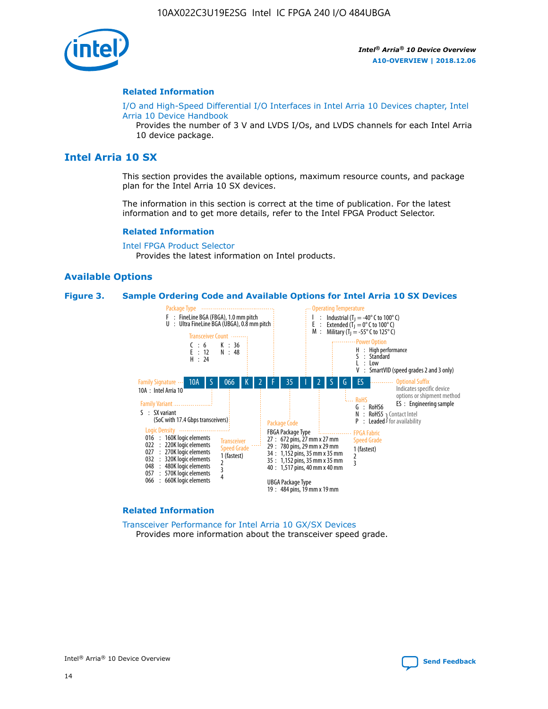

#### **Related Information**

[I/O and High-Speed Differential I/O Interfaces in Intel Arria 10 Devices chapter, Intel](https://www.intel.com/content/www/us/en/programmable/documentation/sam1403482614086.html#sam1403482030321) [Arria 10 Device Handbook](https://www.intel.com/content/www/us/en/programmable/documentation/sam1403482614086.html#sam1403482030321)

Provides the number of 3 V and LVDS I/Os, and LVDS channels for each Intel Arria 10 device package.

# **Intel Arria 10 SX**

This section provides the available options, maximum resource counts, and package plan for the Intel Arria 10 SX devices.

The information in this section is correct at the time of publication. For the latest information and to get more details, refer to the Intel FPGA Product Selector.

#### **Related Information**

[Intel FPGA Product Selector](http://www.altera.com/products/selector/psg-selector.html) Provides the latest information on Intel products.

#### **Available Options**

#### **Figure 3. Sample Ordering Code and Available Options for Intel Arria 10 SX Devices**



#### **Related Information**

[Transceiver Performance for Intel Arria 10 GX/SX Devices](https://www.intel.com/content/www/us/en/programmable/documentation/mcn1413182292568.html#mcn1413213965502) Provides more information about the transceiver speed grade.



Intel® Arria® 10 Device Overview **[Send Feedback](mailto:FPGAtechdocfeedback@intel.com?subject=Feedback%20on%20Intel%20Arria%2010%20Device%20Overview%20(A10-OVERVIEW%202018.12.06)&body=We%20appreciate%20your%20feedback.%20In%20your%20comments,%20also%20specify%20the%20page%20number%20or%20paragraph.%20Thank%20you.)**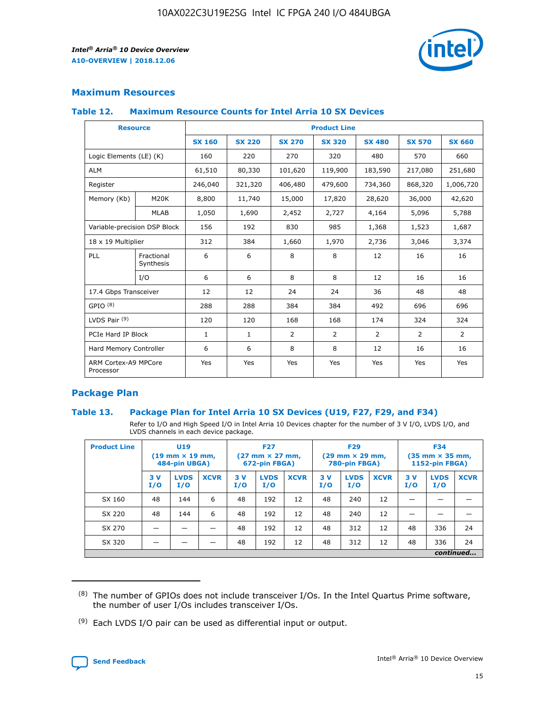

# **Maximum Resources**

## **Table 12. Maximum Resource Counts for Intel Arria 10 SX Devices**

| <b>Resource</b>                   |                         |               |               |                | <b>Product Line</b> |                |                |                |
|-----------------------------------|-------------------------|---------------|---------------|----------------|---------------------|----------------|----------------|----------------|
|                                   |                         | <b>SX 160</b> | <b>SX 220</b> | <b>SX 270</b>  | <b>SX 320</b>       | <b>SX 480</b>  | <b>SX 570</b>  | <b>SX 660</b>  |
| Logic Elements (LE) (K)           |                         | 160           | 220           | 270            | 320                 | 480            | 570            | 660            |
| <b>ALM</b>                        |                         | 61,510        | 80,330        | 101,620        | 119,900             | 183,590        | 217,080        | 251,680        |
| Register                          |                         | 246,040       | 321,320       | 406,480        | 479,600             | 734,360        | 868,320        | 1,006,720      |
| Memory (Kb)                       | M <sub>20</sub> K       | 8,800         | 11,740        | 15,000         | 17,820              | 28,620         | 36,000         | 42,620         |
|                                   | <b>MLAB</b>             | 1,050         | 1,690         | 2,452          | 2,727               | 4,164          | 5,096          | 5,788          |
| Variable-precision DSP Block      |                         | 156           | 192           | 830            | 985                 | 1,368          | 1,523          | 1,687          |
| 18 x 19 Multiplier                |                         | 312           | 384           | 1,660          | 1,970               | 2,736          | 3,046          | 3,374          |
| PLL                               | Fractional<br>Synthesis | 6             | 6             | 8              | 8                   | 12             | 16             | 16             |
|                                   | I/O                     | 6             | 6             | 8              | 8                   | 12             | 16             | 16             |
| 17.4 Gbps Transceiver             |                         | 12            | 12            | 24             | 24                  | 36             | 48             | 48             |
| GPIO <sup>(8)</sup>               |                         | 288           | 288           | 384            | 384                 | 492            | 696            | 696            |
| LVDS Pair $(9)$                   |                         | 120           | 120           | 168            | 168                 | 174            | 324            | 324            |
| PCIe Hard IP Block                |                         | $\mathbf{1}$  | $\mathbf{1}$  | $\overline{2}$ | $\overline{2}$      | $\overline{2}$ | $\overline{2}$ | $\overline{2}$ |
| Hard Memory Controller            |                         | 6             | 6             | 8              | 8                   | 12             | 16             | 16             |
| ARM Cortex-A9 MPCore<br>Processor |                         | Yes           | Yes           | Yes            | Yes                 | Yes            | Yes            | Yes            |

# **Package Plan**

# **Table 13. Package Plan for Intel Arria 10 SX Devices (U19, F27, F29, and F34)**

Refer to I/O and High Speed I/O in Intel Arria 10 Devices chapter for the number of 3 V I/O, LVDS I/O, and LVDS channels in each device package.

| <b>Product Line</b> | <b>U19</b><br>$(19 \text{ mm} \times 19 \text{ mm})$<br>484-pin UBGA) |                    | <b>F27</b><br>$(27 \text{ mm} \times 27 \text{ mm})$<br>672-pin FBGA) |           | <b>F29</b><br>$(29$ mm $\times$ 29 mm,<br>780-pin FBGA) |             |            | <b>F34</b><br>$(35 \text{ mm} \times 35 \text{ mm})$<br>1152-pin FBGA) |             |           |                    |             |
|---------------------|-----------------------------------------------------------------------|--------------------|-----------------------------------------------------------------------|-----------|---------------------------------------------------------|-------------|------------|------------------------------------------------------------------------|-------------|-----------|--------------------|-------------|
|                     | 3V<br>I/O                                                             | <b>LVDS</b><br>I/O | <b>XCVR</b>                                                           | 3V<br>I/O | <b>LVDS</b><br>I/O                                      | <b>XCVR</b> | 3 V<br>I/O | <b>LVDS</b><br>I/O                                                     | <b>XCVR</b> | 3V<br>I/O | <b>LVDS</b><br>I/O | <b>XCVR</b> |
| SX 160              | 48                                                                    | 144                | 6                                                                     | 48        | 192                                                     | 12          | 48         | 240                                                                    | 12          | –         |                    |             |
| SX 220              | 48                                                                    | 144                | 6                                                                     | 48        | 192                                                     | 12          | 48         | 240                                                                    | 12          |           |                    |             |
| SX 270              |                                                                       |                    |                                                                       | 48        | 192                                                     | 12          | 48         | 312                                                                    | 12          | 48        | 336                | 24          |
| SX 320              |                                                                       |                    |                                                                       | 48        | 192                                                     | 12          | 48         | 312                                                                    | 12          | 48        | 336                | 24          |
|                     | continued                                                             |                    |                                                                       |           |                                                         |             |            |                                                                        |             |           |                    |             |

 $(8)$  The number of GPIOs does not include transceiver I/Os. In the Intel Quartus Prime software, the number of user I/Os includes transceiver I/Os.

 $(9)$  Each LVDS I/O pair can be used as differential input or output.

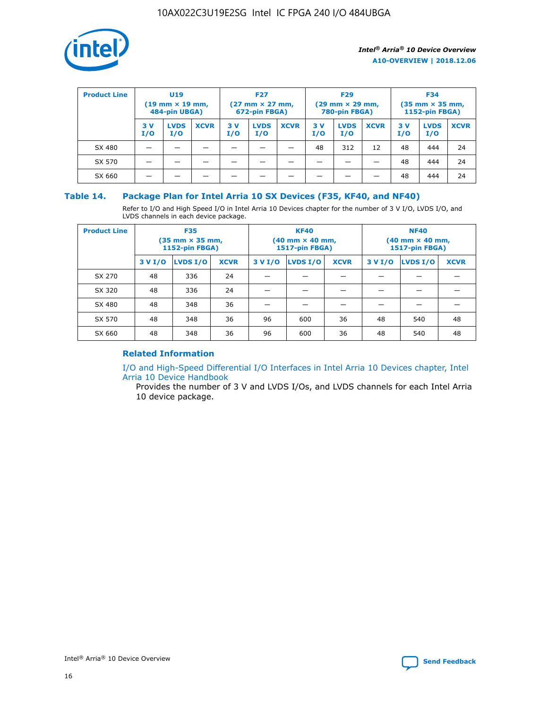

| <b>Product Line</b> | U <sub>19</sub><br>$(19 \text{ mm} \times 19 \text{ mm})$<br>484-pin UBGA) |                    | <b>F27</b><br>$(27 \text{ mm} \times 27 \text{ mm})$<br>672-pin FBGA) |            | <b>F29</b><br>$(29 \text{ mm} \times 29 \text{ mm})$<br>780-pin FBGA) |             |           | <b>F34</b><br>$(35$ mm $\times$ 35 mm,<br><b>1152-pin FBGA)</b> |             |           |                    |             |
|---------------------|----------------------------------------------------------------------------|--------------------|-----------------------------------------------------------------------|------------|-----------------------------------------------------------------------|-------------|-----------|-----------------------------------------------------------------|-------------|-----------|--------------------|-------------|
|                     | 3V<br>I/O                                                                  | <b>LVDS</b><br>I/O | <b>XCVR</b>                                                           | 3 V<br>I/O | <b>LVDS</b><br>I/O                                                    | <b>XCVR</b> | 3V<br>I/O | <b>LVDS</b><br>I/O                                              | <b>XCVR</b> | 3V<br>I/O | <b>LVDS</b><br>I/O | <b>XCVR</b> |
| SX 480              |                                                                            |                    |                                                                       |            |                                                                       |             | 48        | 312                                                             | 12          | 48        | 444                | 24          |
| SX 570              |                                                                            |                    |                                                                       |            |                                                                       |             |           |                                                                 |             | 48        | 444                | 24          |
| SX 660              |                                                                            |                    |                                                                       |            |                                                                       |             |           |                                                                 |             | 48        | 444                | 24          |

## **Table 14. Package Plan for Intel Arria 10 SX Devices (F35, KF40, and NF40)**

Refer to I/O and High Speed I/O in Intel Arria 10 Devices chapter for the number of 3 V I/O, LVDS I/O, and LVDS channels in each device package.

| <b>Product Line</b> | <b>F35</b><br>(35 mm × 35 mm,<br><b>1152-pin FBGA)</b> |          |             |                                           | <b>KF40</b><br>(40 mm × 40 mm,<br>1517-pin FBGA) |    | <b>NF40</b><br>$(40 \text{ mm} \times 40 \text{ mm})$<br><b>1517-pin FBGA)</b> |          |             |  |
|---------------------|--------------------------------------------------------|----------|-------------|-------------------------------------------|--------------------------------------------------|----|--------------------------------------------------------------------------------|----------|-------------|--|
|                     | 3 V I/O                                                | LVDS I/O | <b>XCVR</b> | <b>LVDS I/O</b><br><b>XCVR</b><br>3 V I/O |                                                  |    | 3 V I/O                                                                        | LVDS I/O | <b>XCVR</b> |  |
| SX 270              | 48                                                     | 336      | 24          |                                           |                                                  |    |                                                                                |          |             |  |
| SX 320              | 48                                                     | 336      | 24          |                                           |                                                  |    |                                                                                |          |             |  |
| SX 480              | 48                                                     | 348      | 36          |                                           |                                                  |    |                                                                                |          |             |  |
| SX 570              | 48                                                     | 348      | 36          | 96<br>36<br>600                           |                                                  | 48 | 540                                                                            | 48       |             |  |
| SX 660              | 48                                                     | 348      | 36          | 96                                        | 600                                              | 36 | 48                                                                             | 540      | 48          |  |

# **Related Information**

[I/O and High-Speed Differential I/O Interfaces in Intel Arria 10 Devices chapter, Intel](https://www.intel.com/content/www/us/en/programmable/documentation/sam1403482614086.html#sam1403482030321) [Arria 10 Device Handbook](https://www.intel.com/content/www/us/en/programmable/documentation/sam1403482614086.html#sam1403482030321)

Provides the number of 3 V and LVDS I/Os, and LVDS channels for each Intel Arria 10 device package.

Intel<sup>®</sup> Arria<sup>®</sup> 10 Device Overview **[Send Feedback](mailto:FPGAtechdocfeedback@intel.com?subject=Feedback%20on%20Intel%20Arria%2010%20Device%20Overview%20(A10-OVERVIEW%202018.12.06)&body=We%20appreciate%20your%20feedback.%20In%20your%20comments,%20also%20specify%20the%20page%20number%20or%20paragraph.%20Thank%20you.)** Send Feedback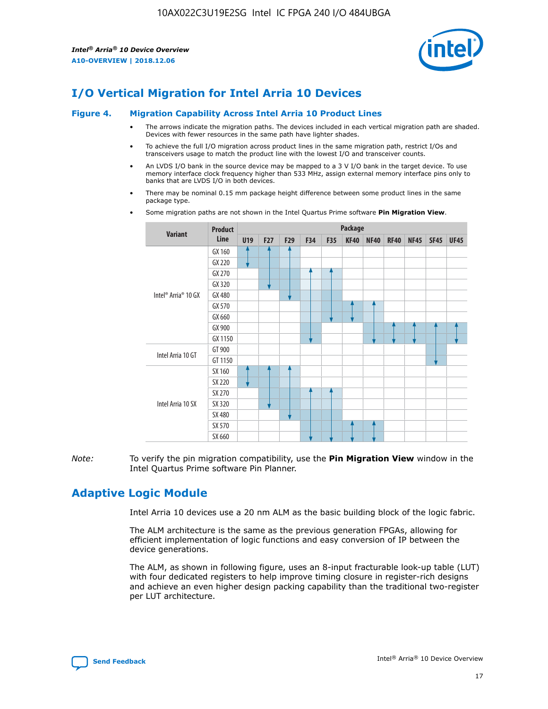

# **I/O Vertical Migration for Intel Arria 10 Devices**

#### **Figure 4. Migration Capability Across Intel Arria 10 Product Lines**

- The arrows indicate the migration paths. The devices included in each vertical migration path are shaded. Devices with fewer resources in the same path have lighter shades.
- To achieve the full I/O migration across product lines in the same migration path, restrict I/Os and transceivers usage to match the product line with the lowest I/O and transceiver counts.
- An LVDS I/O bank in the source device may be mapped to a 3 V I/O bank in the target device. To use memory interface clock frequency higher than 533 MHz, assign external memory interface pins only to banks that are LVDS I/O in both devices.
- There may be nominal 0.15 mm package height difference between some product lines in the same package type.
	- **Variant Product Line Package U19 F27 F29 F34 F35 KF40 NF40 RF40 NF45 SF45 UF45** Intel® Arria® 10 GX GX 160 GX 220 GX 270 GX 320 GX 480 GX 570 GX 660 GX 900 GX 1150 Intel Arria 10 GT GT 900 GT 1150 Intel Arria 10 SX SX 160 SX 220 SX 270 SX 320 SX 480 SX 570 SX 660
- Some migration paths are not shown in the Intel Quartus Prime software **Pin Migration View**.

*Note:* To verify the pin migration compatibility, use the **Pin Migration View** window in the Intel Quartus Prime software Pin Planner.

# **Adaptive Logic Module**

Intel Arria 10 devices use a 20 nm ALM as the basic building block of the logic fabric.

The ALM architecture is the same as the previous generation FPGAs, allowing for efficient implementation of logic functions and easy conversion of IP between the device generations.

The ALM, as shown in following figure, uses an 8-input fracturable look-up table (LUT) with four dedicated registers to help improve timing closure in register-rich designs and achieve an even higher design packing capability than the traditional two-register per LUT architecture.

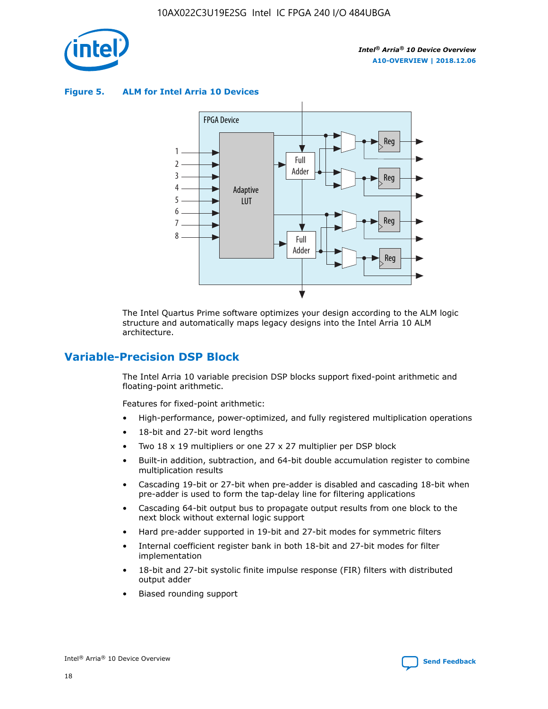

**Figure 5. ALM for Intel Arria 10 Devices**



The Intel Quartus Prime software optimizes your design according to the ALM logic structure and automatically maps legacy designs into the Intel Arria 10 ALM architecture.

# **Variable-Precision DSP Block**

The Intel Arria 10 variable precision DSP blocks support fixed-point arithmetic and floating-point arithmetic.

Features for fixed-point arithmetic:

- High-performance, power-optimized, and fully registered multiplication operations
- 18-bit and 27-bit word lengths
- Two 18 x 19 multipliers or one 27 x 27 multiplier per DSP block
- Built-in addition, subtraction, and 64-bit double accumulation register to combine multiplication results
- Cascading 19-bit or 27-bit when pre-adder is disabled and cascading 18-bit when pre-adder is used to form the tap-delay line for filtering applications
- Cascading 64-bit output bus to propagate output results from one block to the next block without external logic support
- Hard pre-adder supported in 19-bit and 27-bit modes for symmetric filters
- Internal coefficient register bank in both 18-bit and 27-bit modes for filter implementation
- 18-bit and 27-bit systolic finite impulse response (FIR) filters with distributed output adder
- Biased rounding support

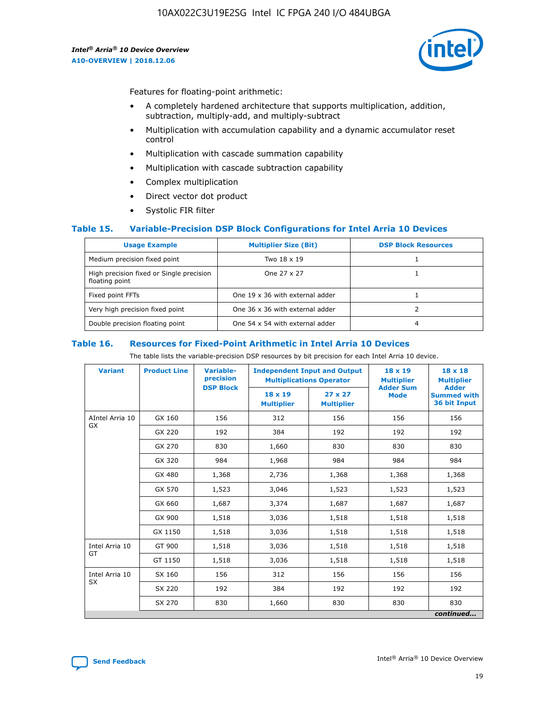

Features for floating-point arithmetic:

- A completely hardened architecture that supports multiplication, addition, subtraction, multiply-add, and multiply-subtract
- Multiplication with accumulation capability and a dynamic accumulator reset control
- Multiplication with cascade summation capability
- Multiplication with cascade subtraction capability
- Complex multiplication
- Direct vector dot product
- Systolic FIR filter

#### **Table 15. Variable-Precision DSP Block Configurations for Intel Arria 10 Devices**

| <b>Usage Example</b>                                       | <b>Multiplier Size (Bit)</b>    | <b>DSP Block Resources</b> |
|------------------------------------------------------------|---------------------------------|----------------------------|
| Medium precision fixed point                               | Two 18 x 19                     |                            |
| High precision fixed or Single precision<br>floating point | One 27 x 27                     |                            |
| Fixed point FFTs                                           | One 19 x 36 with external adder |                            |
| Very high precision fixed point                            | One 36 x 36 with external adder |                            |
| Double precision floating point                            | One 54 x 54 with external adder | 4                          |

#### **Table 16. Resources for Fixed-Point Arithmetic in Intel Arria 10 Devices**

The table lists the variable-precision DSP resources by bit precision for each Intel Arria 10 device.

| <b>Variant</b>  | <b>Product Line</b> | <b>Variable-</b><br>precision<br><b>DSP Block</b> | <b>Independent Input and Output</b><br><b>Multiplications Operator</b> |                                     | 18 x 19<br><b>Multiplier</b><br><b>Adder Sum</b> | $18 \times 18$<br><b>Multiplier</b><br><b>Adder</b> |
|-----------------|---------------------|---------------------------------------------------|------------------------------------------------------------------------|-------------------------------------|--------------------------------------------------|-----------------------------------------------------|
|                 |                     |                                                   | 18 x 19<br><b>Multiplier</b>                                           | $27 \times 27$<br><b>Multiplier</b> | <b>Mode</b>                                      | <b>Summed with</b><br>36 bit Input                  |
| AIntel Arria 10 | GX 160              | 156                                               | 312                                                                    | 156                                 | 156                                              | 156                                                 |
| GX              | GX 220              | 192                                               | 384                                                                    | 192                                 | 192                                              | 192                                                 |
|                 | GX 270              | 830                                               | 1,660                                                                  | 830                                 | 830                                              | 830                                                 |
|                 | GX 320              | 984                                               | 1,968                                                                  | 984                                 | 984                                              | 984                                                 |
|                 | GX 480              | 1,368                                             | 2,736                                                                  | 1,368                               | 1,368                                            | 1,368                                               |
|                 | GX 570              | 1,523                                             | 3,046                                                                  | 1,523                               | 1,523                                            | 1,523                                               |
|                 | GX 660              | 1,687                                             | 3,374                                                                  | 1,687                               | 1,687                                            | 1,687                                               |
|                 | GX 900              | 1,518                                             | 3,036                                                                  | 1,518                               | 1,518                                            | 1,518                                               |
|                 | GX 1150             | 1,518                                             | 3,036                                                                  | 1,518                               | 1,518                                            | 1,518                                               |
| Intel Arria 10  | GT 900              | 1,518                                             | 3,036                                                                  | 1,518                               | 1,518                                            | 1,518                                               |
| GT              | GT 1150             | 1,518                                             | 3,036                                                                  | 1,518                               | 1,518                                            | 1,518                                               |
| Intel Arria 10  | SX 160              | 156                                               | 312                                                                    | 156                                 | 156                                              | 156                                                 |
| <b>SX</b>       | SX 220              | 192                                               | 384                                                                    | 192                                 | 192                                              | 192                                                 |
|                 | SX 270              | 830                                               | 1,660                                                                  | 830                                 | 830                                              | 830                                                 |
|                 |                     |                                                   |                                                                        |                                     |                                                  | continued                                           |

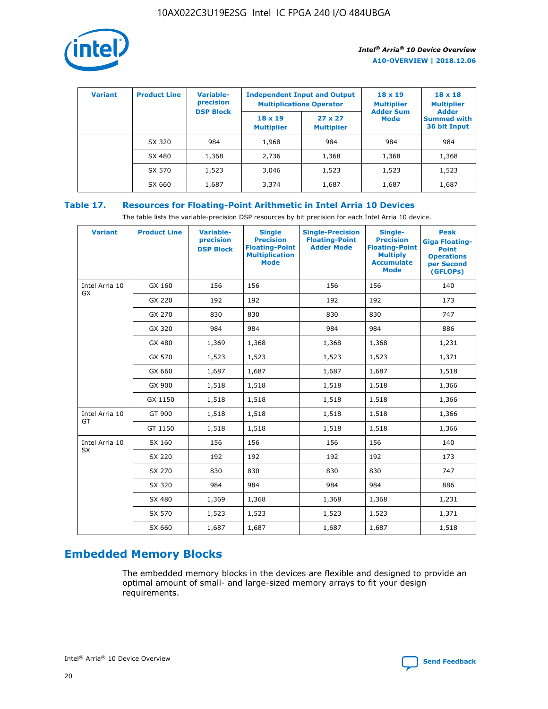

| <b>Variant</b> | <b>Product Line</b> | Variable-<br>precision | <b>Independent Input and Output</b><br><b>Multiplications Operator</b> |                                     | $18 \times 19$<br><b>Multiplier</b> | $18 \times 18$<br><b>Multiplier</b><br><b>Adder</b> |  |
|----------------|---------------------|------------------------|------------------------------------------------------------------------|-------------------------------------|-------------------------------------|-----------------------------------------------------|--|
|                |                     | <b>DSP Block</b>       | $18 \times 19$<br><b>Multiplier</b>                                    | $27 \times 27$<br><b>Multiplier</b> | <b>Adder Sum</b><br><b>Mode</b>     | <b>Summed with</b><br>36 bit Input                  |  |
|                | SX 320              | 984                    | 1,968                                                                  | 984                                 | 984                                 | 984                                                 |  |
|                | SX 480              | 1,368                  | 2,736                                                                  | 1,368                               | 1,368                               | 1,368                                               |  |
|                | SX 570              | 1,523                  | 3,046                                                                  | 1,523                               | 1,523                               | 1,523                                               |  |
|                | SX 660              | 1,687                  | 3,374                                                                  | 1,687                               | 1,687                               | 1,687                                               |  |

# **Table 17. Resources for Floating-Point Arithmetic in Intel Arria 10 Devices**

The table lists the variable-precision DSP resources by bit precision for each Intel Arria 10 device.

| <b>Variant</b> | <b>Product Line</b> | <b>Variable-</b><br>precision<br><b>DSP Block</b> | <b>Single</b><br><b>Precision</b><br><b>Floating-Point</b><br><b>Multiplication</b><br><b>Mode</b> | <b>Single-Precision</b><br><b>Floating-Point</b><br><b>Adder Mode</b> | Single-<br><b>Precision</b><br><b>Floating-Point</b><br><b>Multiply</b><br><b>Accumulate</b><br><b>Mode</b> | <b>Peak</b><br><b>Giga Floating-</b><br><b>Point</b><br><b>Operations</b><br>per Second<br>(GFLOPs) |
|----------------|---------------------|---------------------------------------------------|----------------------------------------------------------------------------------------------------|-----------------------------------------------------------------------|-------------------------------------------------------------------------------------------------------------|-----------------------------------------------------------------------------------------------------|
| Intel Arria 10 | GX 160              | 156                                               | 156                                                                                                | 156                                                                   | 156                                                                                                         | 140                                                                                                 |
| GX             | GX 220              | 192                                               | 192                                                                                                | 192                                                                   | 192                                                                                                         | 173                                                                                                 |
|                | GX 270              | 830                                               | 830                                                                                                | 830                                                                   | 830                                                                                                         | 747                                                                                                 |
|                | GX 320              | 984                                               | 984                                                                                                | 984                                                                   | 984                                                                                                         | 886                                                                                                 |
|                | GX 480              | 1,369                                             | 1,368                                                                                              | 1,368                                                                 | 1,368                                                                                                       | 1,231                                                                                               |
|                | GX 570              | 1,523                                             | 1,523                                                                                              | 1,523                                                                 | 1,523                                                                                                       | 1,371                                                                                               |
|                | GX 660              | 1,687                                             | 1,687                                                                                              | 1,687                                                                 | 1,687                                                                                                       | 1,518                                                                                               |
|                | GX 900              | 1,518                                             | 1,518                                                                                              | 1,518                                                                 | 1,518                                                                                                       | 1,366                                                                                               |
|                | GX 1150             | 1,518                                             | 1,518                                                                                              | 1,518                                                                 | 1,518                                                                                                       | 1,366                                                                                               |
| Intel Arria 10 | GT 900              | 1,518                                             | 1,518                                                                                              | 1,518                                                                 | 1,518                                                                                                       | 1,366                                                                                               |
| GT             | GT 1150             | 1,518                                             | 1,518                                                                                              | 1,518                                                                 | 1,518                                                                                                       | 1,366                                                                                               |
| Intel Arria 10 | SX 160              | 156                                               | 156                                                                                                | 156                                                                   | 156                                                                                                         | 140                                                                                                 |
| <b>SX</b>      | SX 220              | 192                                               | 192                                                                                                | 192                                                                   | 192                                                                                                         | 173                                                                                                 |
|                | SX 270              | 830                                               | 830                                                                                                | 830                                                                   | 830                                                                                                         | 747                                                                                                 |
|                | SX 320              | 984                                               | 984                                                                                                | 984                                                                   | 984                                                                                                         | 886                                                                                                 |
|                | SX 480              | 1,369                                             | 1,368                                                                                              | 1,368                                                                 | 1,368                                                                                                       | 1,231                                                                                               |
|                | SX 570              | 1,523                                             | 1,523                                                                                              | 1,523                                                                 | 1,523                                                                                                       | 1,371                                                                                               |
|                | SX 660              | 1,687                                             | 1,687                                                                                              | 1,687                                                                 | 1,687                                                                                                       | 1,518                                                                                               |

# **Embedded Memory Blocks**

The embedded memory blocks in the devices are flexible and designed to provide an optimal amount of small- and large-sized memory arrays to fit your design requirements.

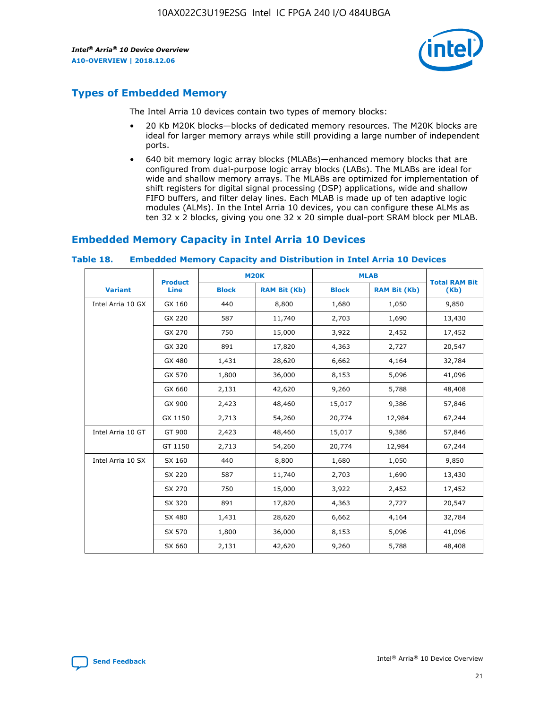

# **Types of Embedded Memory**

The Intel Arria 10 devices contain two types of memory blocks:

- 20 Kb M20K blocks—blocks of dedicated memory resources. The M20K blocks are ideal for larger memory arrays while still providing a large number of independent ports.
- 640 bit memory logic array blocks (MLABs)—enhanced memory blocks that are configured from dual-purpose logic array blocks (LABs). The MLABs are ideal for wide and shallow memory arrays. The MLABs are optimized for implementation of shift registers for digital signal processing (DSP) applications, wide and shallow FIFO buffers, and filter delay lines. Each MLAB is made up of ten adaptive logic modules (ALMs). In the Intel Arria 10 devices, you can configure these ALMs as ten 32 x 2 blocks, giving you one 32 x 20 simple dual-port SRAM block per MLAB.

# **Embedded Memory Capacity in Intel Arria 10 Devices**

|                   | <b>Product</b> |              | <b>M20K</b>         | <b>MLAB</b>  |                     | <b>Total RAM Bit</b> |
|-------------------|----------------|--------------|---------------------|--------------|---------------------|----------------------|
| <b>Variant</b>    | <b>Line</b>    | <b>Block</b> | <b>RAM Bit (Kb)</b> | <b>Block</b> | <b>RAM Bit (Kb)</b> | (Kb)                 |
| Intel Arria 10 GX | GX 160         | 440          | 8,800               | 1,680        | 1,050               | 9,850                |
|                   | GX 220         | 587          | 11,740              | 2,703        | 1,690               | 13,430               |
|                   | GX 270         | 750          | 15,000              | 3,922        | 2,452               | 17,452               |
|                   | GX 320         | 891          | 17,820              | 4,363        | 2,727               | 20,547               |
|                   | GX 480         | 1,431        | 28,620              | 6,662        | 4,164               | 32,784               |
|                   | GX 570         | 1,800        | 36,000              | 8,153        | 5,096               | 41,096               |
|                   | GX 660         | 2,131        | 42,620              | 9,260        | 5,788               | 48,408               |
|                   | GX 900         | 2,423        | 48,460              | 15,017       | 9,386               | 57,846               |
|                   | GX 1150        | 2,713        | 54,260              | 20,774       | 12,984              | 67,244               |
| Intel Arria 10 GT | GT 900         | 2,423        | 48,460              | 15,017       | 9,386               | 57,846               |
|                   | GT 1150        | 2,713        | 54,260              | 20,774       | 12,984              | 67,244               |
| Intel Arria 10 SX | SX 160         | 440          | 8,800               | 1,680        | 1,050               | 9,850                |
|                   | SX 220         | 587          | 11,740              | 2,703        | 1,690               | 13,430               |
|                   | SX 270         | 750          | 15,000              | 3,922        | 2,452               | 17,452               |
|                   | SX 320         | 891          | 17,820              | 4,363        | 2,727               | 20,547               |
|                   | SX 480         | 1,431        | 28,620              | 6,662        | 4,164               | 32,784               |
|                   | SX 570         | 1,800        | 36,000              | 8,153        | 5,096               | 41,096               |
|                   | SX 660         | 2,131        | 42,620              | 9,260        | 5,788               | 48,408               |

#### **Table 18. Embedded Memory Capacity and Distribution in Intel Arria 10 Devices**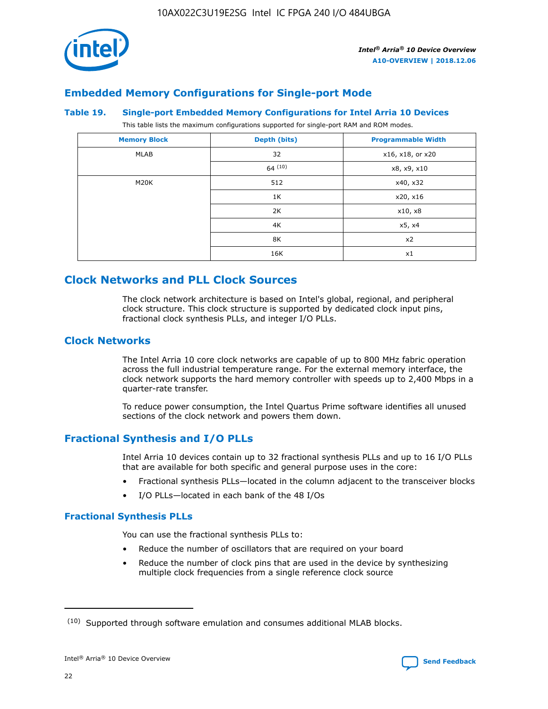

# **Embedded Memory Configurations for Single-port Mode**

#### **Table 19. Single-port Embedded Memory Configurations for Intel Arria 10 Devices**

This table lists the maximum configurations supported for single-port RAM and ROM modes.

| <b>Memory Block</b> | Depth (bits) | <b>Programmable Width</b> |
|---------------------|--------------|---------------------------|
| MLAB                | 32           | x16, x18, or x20          |
|                     | 64(10)       | x8, x9, x10               |
| M20K                | 512          | x40, x32                  |
|                     | 1K           | x20, x16                  |
|                     | 2K           | x10, x8                   |
|                     | 4K           | x5, x4                    |
|                     | 8K           | x2                        |
|                     | 16K          | x1                        |

# **Clock Networks and PLL Clock Sources**

The clock network architecture is based on Intel's global, regional, and peripheral clock structure. This clock structure is supported by dedicated clock input pins, fractional clock synthesis PLLs, and integer I/O PLLs.

# **Clock Networks**

The Intel Arria 10 core clock networks are capable of up to 800 MHz fabric operation across the full industrial temperature range. For the external memory interface, the clock network supports the hard memory controller with speeds up to 2,400 Mbps in a quarter-rate transfer.

To reduce power consumption, the Intel Quartus Prime software identifies all unused sections of the clock network and powers them down.

# **Fractional Synthesis and I/O PLLs**

Intel Arria 10 devices contain up to 32 fractional synthesis PLLs and up to 16 I/O PLLs that are available for both specific and general purpose uses in the core:

- Fractional synthesis PLLs—located in the column adjacent to the transceiver blocks
- I/O PLLs—located in each bank of the 48 I/Os

### **Fractional Synthesis PLLs**

You can use the fractional synthesis PLLs to:

- Reduce the number of oscillators that are required on your board
- Reduce the number of clock pins that are used in the device by synthesizing multiple clock frequencies from a single reference clock source

<sup>(10)</sup> Supported through software emulation and consumes additional MLAB blocks.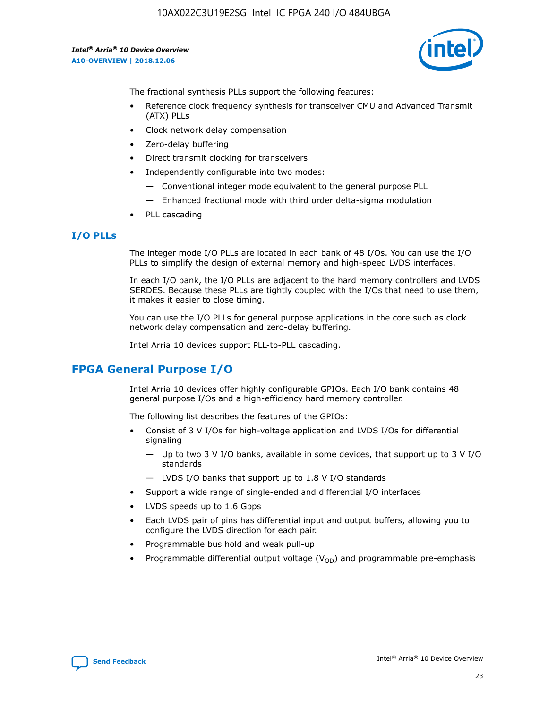

The fractional synthesis PLLs support the following features:

- Reference clock frequency synthesis for transceiver CMU and Advanced Transmit (ATX) PLLs
- Clock network delay compensation
- Zero-delay buffering
- Direct transmit clocking for transceivers
- Independently configurable into two modes:
	- Conventional integer mode equivalent to the general purpose PLL
	- Enhanced fractional mode with third order delta-sigma modulation
- PLL cascading

# **I/O PLLs**

The integer mode I/O PLLs are located in each bank of 48 I/Os. You can use the I/O PLLs to simplify the design of external memory and high-speed LVDS interfaces.

In each I/O bank, the I/O PLLs are adjacent to the hard memory controllers and LVDS SERDES. Because these PLLs are tightly coupled with the I/Os that need to use them, it makes it easier to close timing.

You can use the I/O PLLs for general purpose applications in the core such as clock network delay compensation and zero-delay buffering.

Intel Arria 10 devices support PLL-to-PLL cascading.

# **FPGA General Purpose I/O**

Intel Arria 10 devices offer highly configurable GPIOs. Each I/O bank contains 48 general purpose I/Os and a high-efficiency hard memory controller.

The following list describes the features of the GPIOs:

- Consist of 3 V I/Os for high-voltage application and LVDS I/Os for differential signaling
	- Up to two 3 V I/O banks, available in some devices, that support up to 3 V I/O standards
	- LVDS I/O banks that support up to 1.8 V I/O standards
- Support a wide range of single-ended and differential I/O interfaces
- LVDS speeds up to 1.6 Gbps
- Each LVDS pair of pins has differential input and output buffers, allowing you to configure the LVDS direction for each pair.
- Programmable bus hold and weak pull-up
- Programmable differential output voltage  $(V_{OD})$  and programmable pre-emphasis

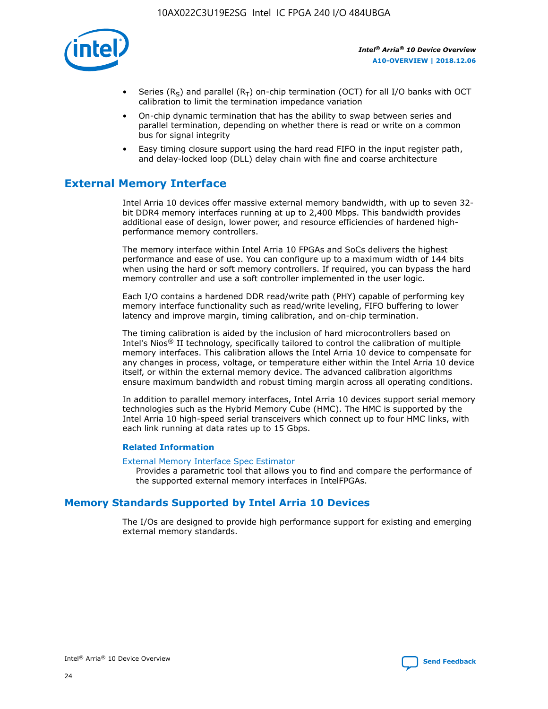

- Series (R<sub>S</sub>) and parallel (R<sub>T</sub>) on-chip termination (OCT) for all I/O banks with OCT calibration to limit the termination impedance variation
- On-chip dynamic termination that has the ability to swap between series and parallel termination, depending on whether there is read or write on a common bus for signal integrity
- Easy timing closure support using the hard read FIFO in the input register path, and delay-locked loop (DLL) delay chain with fine and coarse architecture

# **External Memory Interface**

Intel Arria 10 devices offer massive external memory bandwidth, with up to seven 32 bit DDR4 memory interfaces running at up to 2,400 Mbps. This bandwidth provides additional ease of design, lower power, and resource efficiencies of hardened highperformance memory controllers.

The memory interface within Intel Arria 10 FPGAs and SoCs delivers the highest performance and ease of use. You can configure up to a maximum width of 144 bits when using the hard or soft memory controllers. If required, you can bypass the hard memory controller and use a soft controller implemented in the user logic.

Each I/O contains a hardened DDR read/write path (PHY) capable of performing key memory interface functionality such as read/write leveling, FIFO buffering to lower latency and improve margin, timing calibration, and on-chip termination.

The timing calibration is aided by the inclusion of hard microcontrollers based on Intel's Nios® II technology, specifically tailored to control the calibration of multiple memory interfaces. This calibration allows the Intel Arria 10 device to compensate for any changes in process, voltage, or temperature either within the Intel Arria 10 device itself, or within the external memory device. The advanced calibration algorithms ensure maximum bandwidth and robust timing margin across all operating conditions.

In addition to parallel memory interfaces, Intel Arria 10 devices support serial memory technologies such as the Hybrid Memory Cube (HMC). The HMC is supported by the Intel Arria 10 high-speed serial transceivers which connect up to four HMC links, with each link running at data rates up to 15 Gbps.

#### **Related Information**

#### [External Memory Interface Spec Estimator](http://www.altera.com/technology/memory/estimator/mem-emif-index.html)

Provides a parametric tool that allows you to find and compare the performance of the supported external memory interfaces in IntelFPGAs.

# **Memory Standards Supported by Intel Arria 10 Devices**

The I/Os are designed to provide high performance support for existing and emerging external memory standards.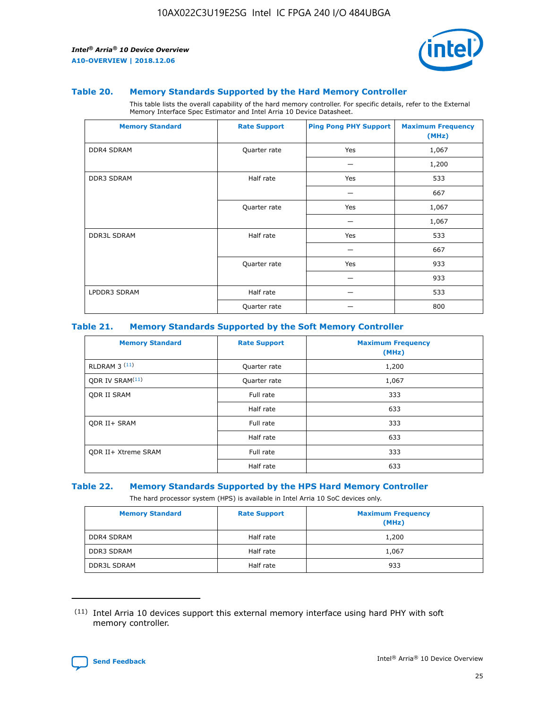

#### **Table 20. Memory Standards Supported by the Hard Memory Controller**

This table lists the overall capability of the hard memory controller. For specific details, refer to the External Memory Interface Spec Estimator and Intel Arria 10 Device Datasheet.

| <b>Memory Standard</b> | <b>Rate Support</b> | <b>Ping Pong PHY Support</b> | <b>Maximum Frequency</b><br>(MHz) |
|------------------------|---------------------|------------------------------|-----------------------------------|
| <b>DDR4 SDRAM</b>      | Quarter rate        | Yes                          | 1,067                             |
|                        |                     |                              | 1,200                             |
| <b>DDR3 SDRAM</b>      | Half rate           | Yes                          | 533                               |
|                        |                     |                              | 667                               |
|                        | Quarter rate        | Yes                          | 1,067                             |
|                        |                     |                              | 1,067                             |
| <b>DDR3L SDRAM</b>     | Half rate           | Yes                          | 533                               |
|                        |                     |                              | 667                               |
|                        | Quarter rate        | Yes                          | 933                               |
|                        |                     |                              | 933                               |
| LPDDR3 SDRAM           | Half rate           |                              | 533                               |
|                        | Quarter rate        |                              | 800                               |

#### **Table 21. Memory Standards Supported by the Soft Memory Controller**

| <b>Memory Standard</b>      | <b>Rate Support</b> | <b>Maximum Frequency</b><br>(MHz) |
|-----------------------------|---------------------|-----------------------------------|
| <b>RLDRAM 3 (11)</b>        | Quarter rate        | 1,200                             |
| ODR IV SRAM <sup>(11)</sup> | Quarter rate        | 1,067                             |
| <b>ODR II SRAM</b>          | Full rate           | 333                               |
|                             | Half rate           | 633                               |
| <b>ODR II+ SRAM</b>         | Full rate           | 333                               |
|                             | Half rate           | 633                               |
| <b>ODR II+ Xtreme SRAM</b>  | Full rate           | 333                               |
|                             | Half rate           | 633                               |

#### **Table 22. Memory Standards Supported by the HPS Hard Memory Controller**

The hard processor system (HPS) is available in Intel Arria 10 SoC devices only.

| <b>Memory Standard</b> | <b>Rate Support</b> | <b>Maximum Frequency</b><br>(MHz) |
|------------------------|---------------------|-----------------------------------|
| <b>DDR4 SDRAM</b>      | Half rate           | 1,200                             |
| <b>DDR3 SDRAM</b>      | Half rate           | 1,067                             |
| <b>DDR3L SDRAM</b>     | Half rate           | 933                               |

<sup>(11)</sup> Intel Arria 10 devices support this external memory interface using hard PHY with soft memory controller.

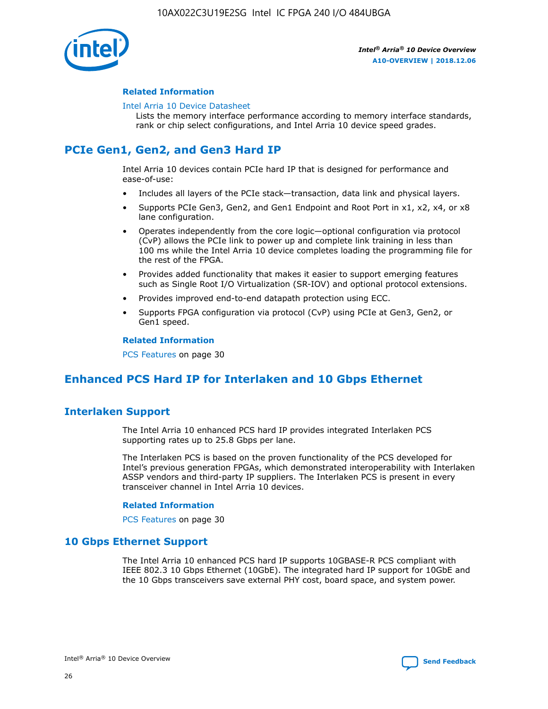

## **Related Information**

#### [Intel Arria 10 Device Datasheet](https://www.intel.com/content/www/us/en/programmable/documentation/mcn1413182292568.html#mcn1413182153340)

Lists the memory interface performance according to memory interface standards, rank or chip select configurations, and Intel Arria 10 device speed grades.

# **PCIe Gen1, Gen2, and Gen3 Hard IP**

Intel Arria 10 devices contain PCIe hard IP that is designed for performance and ease-of-use:

- Includes all layers of the PCIe stack—transaction, data link and physical layers.
- Supports PCIe Gen3, Gen2, and Gen1 Endpoint and Root Port in x1, x2, x4, or x8 lane configuration.
- Operates independently from the core logic—optional configuration via protocol (CvP) allows the PCIe link to power up and complete link training in less than 100 ms while the Intel Arria 10 device completes loading the programming file for the rest of the FPGA.
- Provides added functionality that makes it easier to support emerging features such as Single Root I/O Virtualization (SR-IOV) and optional protocol extensions.
- Provides improved end-to-end datapath protection using ECC.
- Supports FPGA configuration via protocol (CvP) using PCIe at Gen3, Gen2, or Gen1 speed.

#### **Related Information**

PCS Features on page 30

# **Enhanced PCS Hard IP for Interlaken and 10 Gbps Ethernet**

# **Interlaken Support**

The Intel Arria 10 enhanced PCS hard IP provides integrated Interlaken PCS supporting rates up to 25.8 Gbps per lane.

The Interlaken PCS is based on the proven functionality of the PCS developed for Intel's previous generation FPGAs, which demonstrated interoperability with Interlaken ASSP vendors and third-party IP suppliers. The Interlaken PCS is present in every transceiver channel in Intel Arria 10 devices.

#### **Related Information**

PCS Features on page 30

# **10 Gbps Ethernet Support**

The Intel Arria 10 enhanced PCS hard IP supports 10GBASE-R PCS compliant with IEEE 802.3 10 Gbps Ethernet (10GbE). The integrated hard IP support for 10GbE and the 10 Gbps transceivers save external PHY cost, board space, and system power.

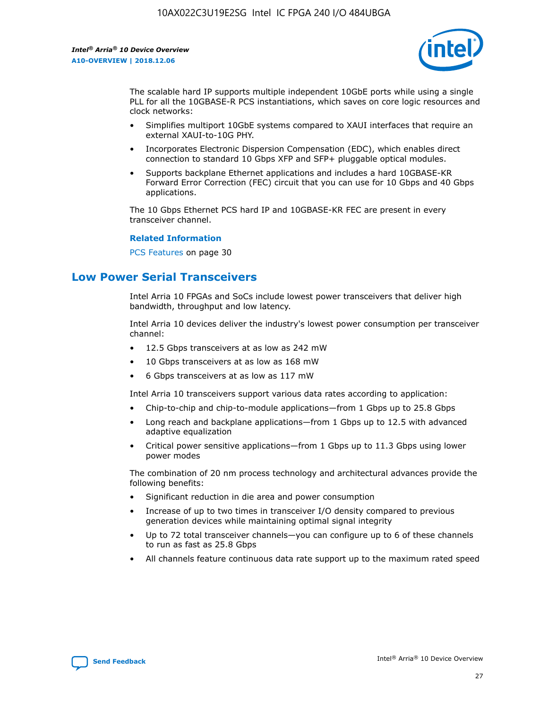

The scalable hard IP supports multiple independent 10GbE ports while using a single PLL for all the 10GBASE-R PCS instantiations, which saves on core logic resources and clock networks:

- Simplifies multiport 10GbE systems compared to XAUI interfaces that require an external XAUI-to-10G PHY.
- Incorporates Electronic Dispersion Compensation (EDC), which enables direct connection to standard 10 Gbps XFP and SFP+ pluggable optical modules.
- Supports backplane Ethernet applications and includes a hard 10GBASE-KR Forward Error Correction (FEC) circuit that you can use for 10 Gbps and 40 Gbps applications.

The 10 Gbps Ethernet PCS hard IP and 10GBASE-KR FEC are present in every transceiver channel.

#### **Related Information**

PCS Features on page 30

# **Low Power Serial Transceivers**

Intel Arria 10 FPGAs and SoCs include lowest power transceivers that deliver high bandwidth, throughput and low latency.

Intel Arria 10 devices deliver the industry's lowest power consumption per transceiver channel:

- 12.5 Gbps transceivers at as low as 242 mW
- 10 Gbps transceivers at as low as 168 mW
- 6 Gbps transceivers at as low as 117 mW

Intel Arria 10 transceivers support various data rates according to application:

- Chip-to-chip and chip-to-module applications—from 1 Gbps up to 25.8 Gbps
- Long reach and backplane applications—from 1 Gbps up to 12.5 with advanced adaptive equalization
- Critical power sensitive applications—from 1 Gbps up to 11.3 Gbps using lower power modes

The combination of 20 nm process technology and architectural advances provide the following benefits:

- Significant reduction in die area and power consumption
- Increase of up to two times in transceiver I/O density compared to previous generation devices while maintaining optimal signal integrity
- Up to 72 total transceiver channels—you can configure up to 6 of these channels to run as fast as 25.8 Gbps
- All channels feature continuous data rate support up to the maximum rated speed

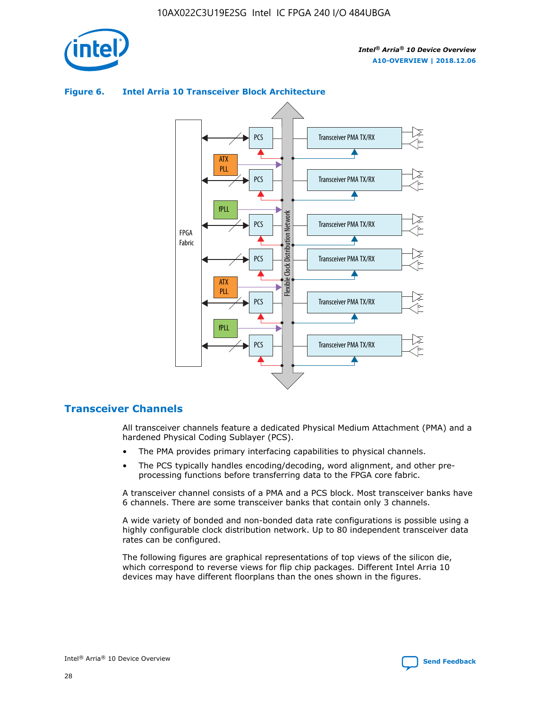

# Transceiver PMA TX/RX PCS ATX PLL Transceiver PMA TX/RX PCS fPLL Network Flexible Clock Distribution Network PCS Transceiver PMA TX/RX FPGA **Clock Distribution** Fabric PCS Transceiver PMA TX/RX ATX Flexible PLL PCS Transceiver PMA TX/RX ▲ fPLL Transceiver PMA TX/RX PCS 4

## **Figure 6. Intel Arria 10 Transceiver Block Architecture**

# **Transceiver Channels**

All transceiver channels feature a dedicated Physical Medium Attachment (PMA) and a hardened Physical Coding Sublayer (PCS).

- The PMA provides primary interfacing capabilities to physical channels.
- The PCS typically handles encoding/decoding, word alignment, and other preprocessing functions before transferring data to the FPGA core fabric.

A transceiver channel consists of a PMA and a PCS block. Most transceiver banks have 6 channels. There are some transceiver banks that contain only 3 channels.

A wide variety of bonded and non-bonded data rate configurations is possible using a highly configurable clock distribution network. Up to 80 independent transceiver data rates can be configured.

The following figures are graphical representations of top views of the silicon die, which correspond to reverse views for flip chip packages. Different Intel Arria 10 devices may have different floorplans than the ones shown in the figures.

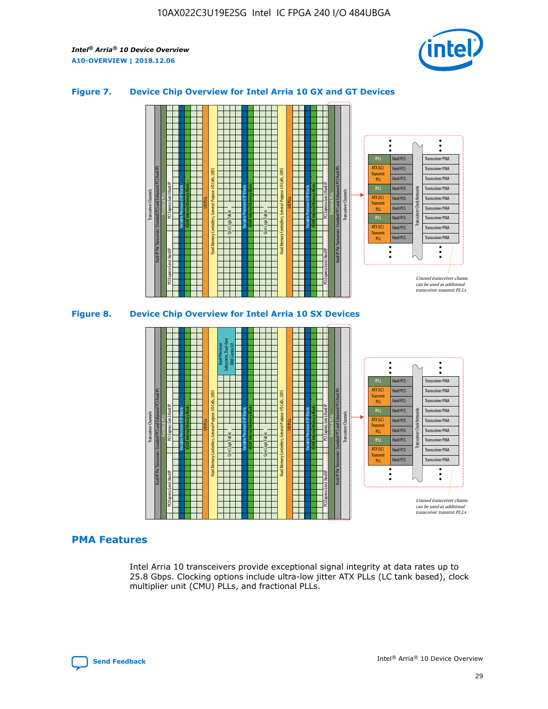

## **Figure 7. Device Chip Overview for Intel Arria 10 GX and GT Devices**





# **PMA Features**

Intel Arria 10 transceivers provide exceptional signal integrity at data rates up to 25.8 Gbps. Clocking options include ultra-low jitter ATX PLLs (LC tank based), clock multiplier unit (CMU) PLLs, and fractional PLLs.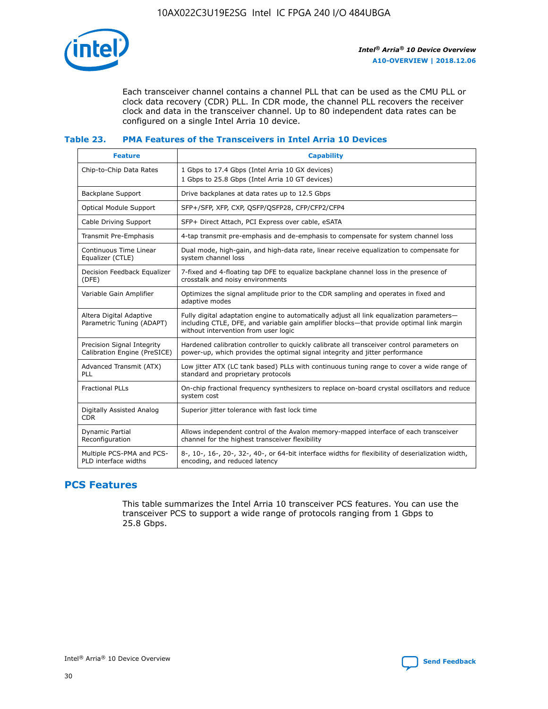

Each transceiver channel contains a channel PLL that can be used as the CMU PLL or clock data recovery (CDR) PLL. In CDR mode, the channel PLL recovers the receiver clock and data in the transceiver channel. Up to 80 independent data rates can be configured on a single Intel Arria 10 device.

## **Table 23. PMA Features of the Transceivers in Intel Arria 10 Devices**

| <b>Feature</b>                                             | <b>Capability</b>                                                                                                                                                                                                             |
|------------------------------------------------------------|-------------------------------------------------------------------------------------------------------------------------------------------------------------------------------------------------------------------------------|
| Chip-to-Chip Data Rates                                    | 1 Gbps to 17.4 Gbps (Intel Arria 10 GX devices)<br>1 Gbps to 25.8 Gbps (Intel Arria 10 GT devices)                                                                                                                            |
| Backplane Support                                          | Drive backplanes at data rates up to 12.5 Gbps                                                                                                                                                                                |
| <b>Optical Module Support</b>                              | SFP+/SFP, XFP, CXP, QSFP/QSFP28, CFP/CFP2/CFP4                                                                                                                                                                                |
| Cable Driving Support                                      | SFP+ Direct Attach, PCI Express over cable, eSATA                                                                                                                                                                             |
| Transmit Pre-Emphasis                                      | 4-tap transmit pre-emphasis and de-emphasis to compensate for system channel loss                                                                                                                                             |
| Continuous Time Linear<br>Equalizer (CTLE)                 | Dual mode, high-gain, and high-data rate, linear receive equalization to compensate for<br>system channel loss                                                                                                                |
| Decision Feedback Equalizer<br>(DFE)                       | 7-fixed and 4-floating tap DFE to equalize backplane channel loss in the presence of<br>crosstalk and noisy environments                                                                                                      |
| Variable Gain Amplifier                                    | Optimizes the signal amplitude prior to the CDR sampling and operates in fixed and<br>adaptive modes                                                                                                                          |
| Altera Digital Adaptive<br>Parametric Tuning (ADAPT)       | Fully digital adaptation engine to automatically adjust all link equalization parameters-<br>including CTLE, DFE, and variable gain amplifier blocks—that provide optimal link margin<br>without intervention from user logic |
| Precision Signal Integrity<br>Calibration Engine (PreSICE) | Hardened calibration controller to quickly calibrate all transceiver control parameters on<br>power-up, which provides the optimal signal integrity and jitter performance                                                    |
| Advanced Transmit (ATX)<br>PLL                             | Low jitter ATX (LC tank based) PLLs with continuous tuning range to cover a wide range of<br>standard and proprietary protocols                                                                                               |
| <b>Fractional PLLs</b>                                     | On-chip fractional frequency synthesizers to replace on-board crystal oscillators and reduce<br>system cost                                                                                                                   |
| Digitally Assisted Analog<br><b>CDR</b>                    | Superior jitter tolerance with fast lock time                                                                                                                                                                                 |
| Dynamic Partial<br>Reconfiguration                         | Allows independent control of the Avalon memory-mapped interface of each transceiver<br>channel for the highest transceiver flexibility                                                                                       |
| Multiple PCS-PMA and PCS-<br>PLD interface widths          | 8-, 10-, 16-, 20-, 32-, 40-, or 64-bit interface widths for flexibility of deserialization width,<br>encoding, and reduced latency                                                                                            |

# **PCS Features**

This table summarizes the Intel Arria 10 transceiver PCS features. You can use the transceiver PCS to support a wide range of protocols ranging from 1 Gbps to 25.8 Gbps.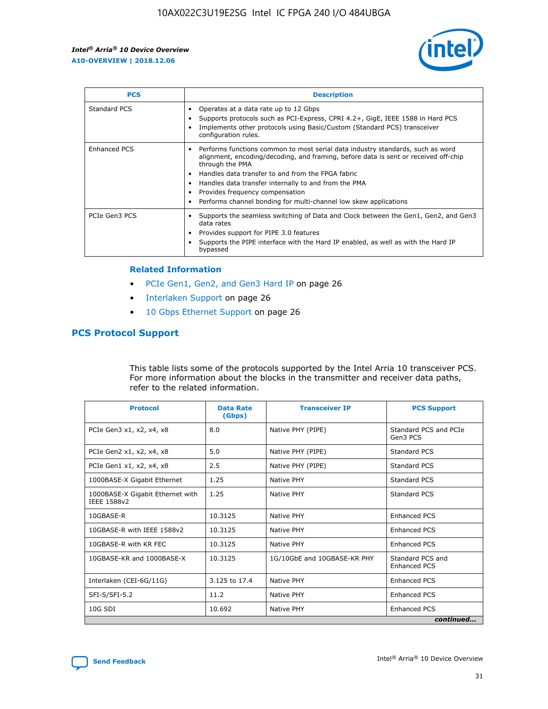

| <b>PCS</b>    | <b>Description</b>                                                                                                                                                                                                                                                                                                                                                                                             |
|---------------|----------------------------------------------------------------------------------------------------------------------------------------------------------------------------------------------------------------------------------------------------------------------------------------------------------------------------------------------------------------------------------------------------------------|
| Standard PCS  | Operates at a data rate up to 12 Gbps<br>Supports protocols such as PCI-Express, CPRI 4.2+, GigE, IEEE 1588 in Hard PCS<br>Implements other protocols using Basic/Custom (Standard PCS) transceiver<br>configuration rules.                                                                                                                                                                                    |
| Enhanced PCS  | Performs functions common to most serial data industry standards, such as word<br>alignment, encoding/decoding, and framing, before data is sent or received off-chip<br>through the PMA<br>• Handles data transfer to and from the FPGA fabric<br>Handles data transfer internally to and from the PMA<br>Provides frequency compensation<br>Performs channel bonding for multi-channel low skew applications |
| PCIe Gen3 PCS | Supports the seamless switching of Data and Clock between the Gen1, Gen2, and Gen3<br>data rates<br>Provides support for PIPE 3.0 features<br>Supports the PIPE interface with the Hard IP enabled, as well as with the Hard IP<br>bypassed                                                                                                                                                                    |

#### **Related Information**

- PCIe Gen1, Gen2, and Gen3 Hard IP on page 26
- Interlaken Support on page 26
- 10 Gbps Ethernet Support on page 26

# **PCS Protocol Support**

This table lists some of the protocols supported by the Intel Arria 10 transceiver PCS. For more information about the blocks in the transmitter and receiver data paths, refer to the related information.

| <b>Protocol</b>                                 | <b>Data Rate</b><br>(Gbps) | <b>Transceiver IP</b>       | <b>PCS Support</b>                      |
|-------------------------------------------------|----------------------------|-----------------------------|-----------------------------------------|
| PCIe Gen3 x1, x2, x4, x8                        | 8.0                        | Native PHY (PIPE)           | Standard PCS and PCIe<br>Gen3 PCS       |
| PCIe Gen2 x1, x2, x4, x8                        | 5.0                        | Native PHY (PIPE)           | <b>Standard PCS</b>                     |
| PCIe Gen1 x1, x2, x4, x8                        | 2.5                        | Native PHY (PIPE)           | Standard PCS                            |
| 1000BASE-X Gigabit Ethernet                     | 1.25                       | Native PHY                  | <b>Standard PCS</b>                     |
| 1000BASE-X Gigabit Ethernet with<br>IEEE 1588v2 | 1.25                       | Native PHY                  | Standard PCS                            |
| 10GBASE-R                                       | 10.3125                    | Native PHY                  | <b>Enhanced PCS</b>                     |
| 10GBASE-R with IEEE 1588v2                      | 10.3125                    | Native PHY                  | <b>Enhanced PCS</b>                     |
| 10GBASE-R with KR FEC                           | 10.3125                    | Native PHY                  | <b>Enhanced PCS</b>                     |
| 10GBASE-KR and 1000BASE-X                       | 10.3125                    | 1G/10GbE and 10GBASE-KR PHY | Standard PCS and<br><b>Enhanced PCS</b> |
| Interlaken (CEI-6G/11G)                         | 3.125 to 17.4              | Native PHY                  | <b>Enhanced PCS</b>                     |
| SFI-S/SFI-5.2                                   | 11.2                       | Native PHY                  | <b>Enhanced PCS</b>                     |
| $10G$ SDI                                       | 10.692                     | Native PHY                  | <b>Enhanced PCS</b>                     |
|                                                 |                            |                             | continued                               |

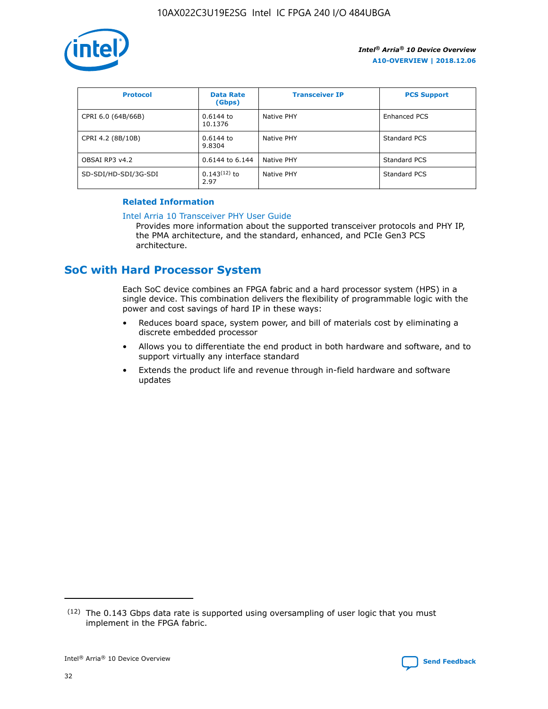

| <b>Protocol</b>      | <b>Data Rate</b><br>(Gbps) | <b>Transceiver IP</b> | <b>PCS Support</b> |
|----------------------|----------------------------|-----------------------|--------------------|
| CPRI 6.0 (64B/66B)   | 0.6144 to<br>10.1376       | Native PHY            | Enhanced PCS       |
| CPRI 4.2 (8B/10B)    | 0.6144 to<br>9.8304        | Native PHY            | Standard PCS       |
| OBSAI RP3 v4.2       | 0.6144 to 6.144            | Native PHY            | Standard PCS       |
| SD-SDI/HD-SDI/3G-SDI | $0.143(12)$ to<br>2.97     | Native PHY            | Standard PCS       |

# **Related Information**

#### [Intel Arria 10 Transceiver PHY User Guide](https://www.intel.com/content/www/us/en/programmable/documentation/nik1398707230472.html#nik1398707091164)

Provides more information about the supported transceiver protocols and PHY IP, the PMA architecture, and the standard, enhanced, and PCIe Gen3 PCS architecture.

# **SoC with Hard Processor System**

Each SoC device combines an FPGA fabric and a hard processor system (HPS) in a single device. This combination delivers the flexibility of programmable logic with the power and cost savings of hard IP in these ways:

- Reduces board space, system power, and bill of materials cost by eliminating a discrete embedded processor
- Allows you to differentiate the end product in both hardware and software, and to support virtually any interface standard
- Extends the product life and revenue through in-field hardware and software updates

 $(12)$  The 0.143 Gbps data rate is supported using oversampling of user logic that you must implement in the FPGA fabric.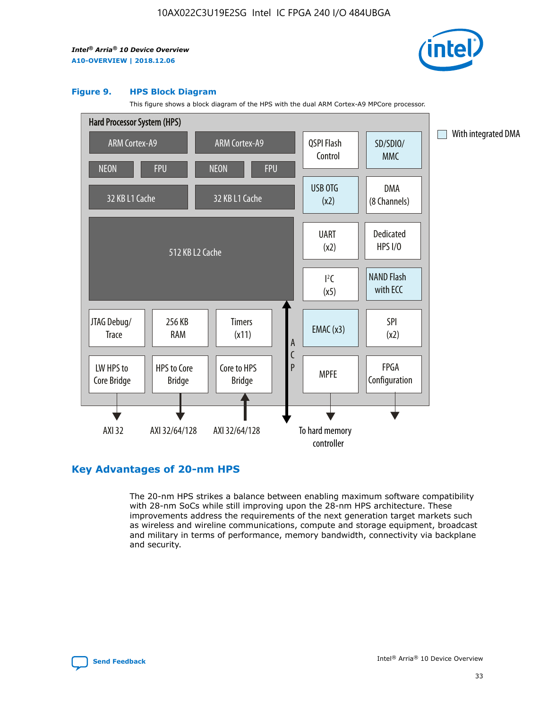

#### **Figure 9. HPS Block Diagram**

This figure shows a block diagram of the HPS with the dual ARM Cortex-A9 MPCore processor.



# **Key Advantages of 20-nm HPS**

The 20-nm HPS strikes a balance between enabling maximum software compatibility with 28-nm SoCs while still improving upon the 28-nm HPS architecture. These improvements address the requirements of the next generation target markets such as wireless and wireline communications, compute and storage equipment, broadcast and military in terms of performance, memory bandwidth, connectivity via backplane and security.

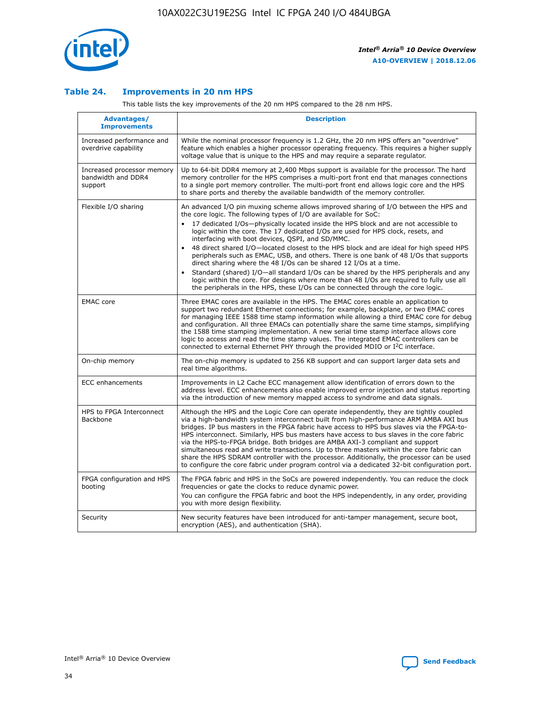

## **Table 24. Improvements in 20 nm HPS**

This table lists the key improvements of the 20 nm HPS compared to the 28 nm HPS.

| Advantages/<br><b>Improvements</b>                          | <b>Description</b>                                                                                                                                                                                                                                                                                                                                                                                                                                                                                                                                                                                                                                                                                                                                                                                                                                                                                                                                |
|-------------------------------------------------------------|---------------------------------------------------------------------------------------------------------------------------------------------------------------------------------------------------------------------------------------------------------------------------------------------------------------------------------------------------------------------------------------------------------------------------------------------------------------------------------------------------------------------------------------------------------------------------------------------------------------------------------------------------------------------------------------------------------------------------------------------------------------------------------------------------------------------------------------------------------------------------------------------------------------------------------------------------|
| Increased performance and<br>overdrive capability           | While the nominal processor frequency is 1.2 GHz, the 20 nm HPS offers an "overdrive"<br>feature which enables a higher processor operating frequency. This requires a higher supply<br>voltage value that is unique to the HPS and may require a separate regulator.                                                                                                                                                                                                                                                                                                                                                                                                                                                                                                                                                                                                                                                                             |
| Increased processor memory<br>bandwidth and DDR4<br>support | Up to 64-bit DDR4 memory at 2,400 Mbps support is available for the processor. The hard<br>memory controller for the HPS comprises a multi-port front end that manages connections<br>to a single port memory controller. The multi-port front end allows logic core and the HPS<br>to share ports and thereby the available bandwidth of the memory controller.                                                                                                                                                                                                                                                                                                                                                                                                                                                                                                                                                                                  |
| Flexible I/O sharing                                        | An advanced I/O pin muxing scheme allows improved sharing of I/O between the HPS and<br>the core logic. The following types of I/O are available for SoC:<br>17 dedicated I/Os-physically located inside the HPS block and are not accessible to<br>$\bullet$<br>logic within the core. The 17 dedicated I/Os are used for HPS clock, resets, and<br>interfacing with boot devices, QSPI, and SD/MMC.<br>48 direct shared I/O-located closest to the HPS block and are ideal for high speed HPS<br>$\bullet$<br>peripherals such as EMAC, USB, and others. There is one bank of 48 I/Os that supports<br>direct sharing where the 48 I/Os can be shared 12 I/Os at a time.<br>Standard (shared) I/O-all standard I/Os can be shared by the HPS peripherals and any<br>logic within the core. For designs where more than 48 I/Os are reguired to fully use all<br>the peripherals in the HPS, these I/Os can be connected through the core logic. |
| <b>EMAC</b> core                                            | Three EMAC cores are available in the HPS. The EMAC cores enable an application to<br>support two redundant Ethernet connections; for example, backplane, or two EMAC cores<br>for managing IEEE 1588 time stamp information while allowing a third EMAC core for debug<br>and configuration. All three EMACs can potentially share the same time stamps, simplifying<br>the 1588 time stamping implementation. A new serial time stamp interface allows core<br>logic to access and read the time stamp values. The integrated EMAC controllers can be<br>connected to external Ethernet PHY through the provided MDIO or I <sup>2</sup> C interface.                                                                                                                                                                                                                                                                                            |
| On-chip memory                                              | The on-chip memory is updated to 256 KB support and can support larger data sets and<br>real time algorithms.                                                                                                                                                                                                                                                                                                                                                                                                                                                                                                                                                                                                                                                                                                                                                                                                                                     |
| <b>ECC</b> enhancements                                     | Improvements in L2 Cache ECC management allow identification of errors down to the<br>address level. ECC enhancements also enable improved error injection and status reporting<br>via the introduction of new memory mapped access to syndrome and data signals.                                                                                                                                                                                                                                                                                                                                                                                                                                                                                                                                                                                                                                                                                 |
| HPS to FPGA Interconnect<br>Backbone                        | Although the HPS and the Logic Core can operate independently, they are tightly coupled<br>via a high-bandwidth system interconnect built from high-performance ARM AMBA AXI bus<br>bridges. IP bus masters in the FPGA fabric have access to HPS bus slaves via the FPGA-to-<br>HPS interconnect. Similarly, HPS bus masters have access to bus slaves in the core fabric<br>via the HPS-to-FPGA bridge. Both bridges are AMBA AXI-3 compliant and support<br>simultaneous read and write transactions. Up to three masters within the core fabric can<br>share the HPS SDRAM controller with the processor. Additionally, the processor can be used<br>to configure the core fabric under program control via a dedicated 32-bit configuration port.                                                                                                                                                                                            |
| FPGA configuration and HPS<br>booting                       | The FPGA fabric and HPS in the SoCs are powered independently. You can reduce the clock<br>frequencies or gate the clocks to reduce dynamic power.<br>You can configure the FPGA fabric and boot the HPS independently, in any order, providing<br>you with more design flexibility.                                                                                                                                                                                                                                                                                                                                                                                                                                                                                                                                                                                                                                                              |
| Security                                                    | New security features have been introduced for anti-tamper management, secure boot,<br>encryption (AES), and authentication (SHA).                                                                                                                                                                                                                                                                                                                                                                                                                                                                                                                                                                                                                                                                                                                                                                                                                |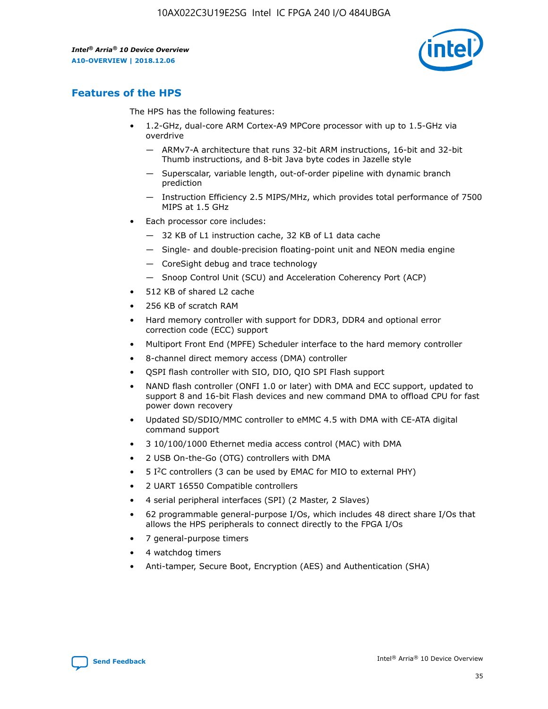

# **Features of the HPS**

The HPS has the following features:

- 1.2-GHz, dual-core ARM Cortex-A9 MPCore processor with up to 1.5-GHz via overdrive
	- ARMv7-A architecture that runs 32-bit ARM instructions, 16-bit and 32-bit Thumb instructions, and 8-bit Java byte codes in Jazelle style
	- Superscalar, variable length, out-of-order pipeline with dynamic branch prediction
	- Instruction Efficiency 2.5 MIPS/MHz, which provides total performance of 7500 MIPS at 1.5 GHz
- Each processor core includes:
	- 32 KB of L1 instruction cache, 32 KB of L1 data cache
	- Single- and double-precision floating-point unit and NEON media engine
	- CoreSight debug and trace technology
	- Snoop Control Unit (SCU) and Acceleration Coherency Port (ACP)
- 512 KB of shared L2 cache
- 256 KB of scratch RAM
- Hard memory controller with support for DDR3, DDR4 and optional error correction code (ECC) support
- Multiport Front End (MPFE) Scheduler interface to the hard memory controller
- 8-channel direct memory access (DMA) controller
- QSPI flash controller with SIO, DIO, QIO SPI Flash support
- NAND flash controller (ONFI 1.0 or later) with DMA and ECC support, updated to support 8 and 16-bit Flash devices and new command DMA to offload CPU for fast power down recovery
- Updated SD/SDIO/MMC controller to eMMC 4.5 with DMA with CE-ATA digital command support
- 3 10/100/1000 Ethernet media access control (MAC) with DMA
- 2 USB On-the-Go (OTG) controllers with DMA
- $\bullet$  5 I<sup>2</sup>C controllers (3 can be used by EMAC for MIO to external PHY)
- 2 UART 16550 Compatible controllers
- 4 serial peripheral interfaces (SPI) (2 Master, 2 Slaves)
- 62 programmable general-purpose I/Os, which includes 48 direct share I/Os that allows the HPS peripherals to connect directly to the FPGA I/Os
- 7 general-purpose timers
- 4 watchdog timers
- Anti-tamper, Secure Boot, Encryption (AES) and Authentication (SHA)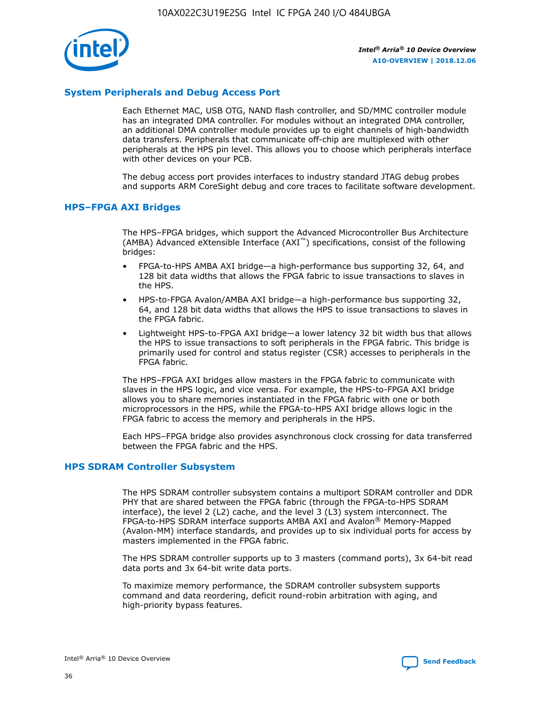

# **System Peripherals and Debug Access Port**

Each Ethernet MAC, USB OTG, NAND flash controller, and SD/MMC controller module has an integrated DMA controller. For modules without an integrated DMA controller, an additional DMA controller module provides up to eight channels of high-bandwidth data transfers. Peripherals that communicate off-chip are multiplexed with other peripherals at the HPS pin level. This allows you to choose which peripherals interface with other devices on your PCB.

The debug access port provides interfaces to industry standard JTAG debug probes and supports ARM CoreSight debug and core traces to facilitate software development.

#### **HPS–FPGA AXI Bridges**

The HPS–FPGA bridges, which support the Advanced Microcontroller Bus Architecture (AMBA) Advanced eXtensible Interface (AXI™) specifications, consist of the following bridges:

- FPGA-to-HPS AMBA AXI bridge—a high-performance bus supporting 32, 64, and 128 bit data widths that allows the FPGA fabric to issue transactions to slaves in the HPS.
- HPS-to-FPGA Avalon/AMBA AXI bridge—a high-performance bus supporting 32, 64, and 128 bit data widths that allows the HPS to issue transactions to slaves in the FPGA fabric.
- Lightweight HPS-to-FPGA AXI bridge—a lower latency 32 bit width bus that allows the HPS to issue transactions to soft peripherals in the FPGA fabric. This bridge is primarily used for control and status register (CSR) accesses to peripherals in the FPGA fabric.

The HPS–FPGA AXI bridges allow masters in the FPGA fabric to communicate with slaves in the HPS logic, and vice versa. For example, the HPS-to-FPGA AXI bridge allows you to share memories instantiated in the FPGA fabric with one or both microprocessors in the HPS, while the FPGA-to-HPS AXI bridge allows logic in the FPGA fabric to access the memory and peripherals in the HPS.

Each HPS–FPGA bridge also provides asynchronous clock crossing for data transferred between the FPGA fabric and the HPS.

#### **HPS SDRAM Controller Subsystem**

The HPS SDRAM controller subsystem contains a multiport SDRAM controller and DDR PHY that are shared between the FPGA fabric (through the FPGA-to-HPS SDRAM interface), the level 2 (L2) cache, and the level 3 (L3) system interconnect. The FPGA-to-HPS SDRAM interface supports AMBA AXI and Avalon® Memory-Mapped (Avalon-MM) interface standards, and provides up to six individual ports for access by masters implemented in the FPGA fabric.

The HPS SDRAM controller supports up to 3 masters (command ports), 3x 64-bit read data ports and 3x 64-bit write data ports.

To maximize memory performance, the SDRAM controller subsystem supports command and data reordering, deficit round-robin arbitration with aging, and high-priority bypass features.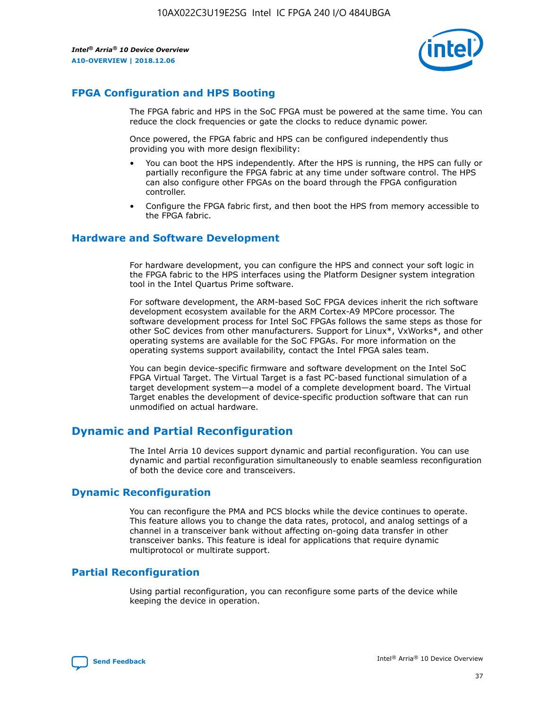

# **FPGA Configuration and HPS Booting**

The FPGA fabric and HPS in the SoC FPGA must be powered at the same time. You can reduce the clock frequencies or gate the clocks to reduce dynamic power.

Once powered, the FPGA fabric and HPS can be configured independently thus providing you with more design flexibility:

- You can boot the HPS independently. After the HPS is running, the HPS can fully or partially reconfigure the FPGA fabric at any time under software control. The HPS can also configure other FPGAs on the board through the FPGA configuration controller.
- Configure the FPGA fabric first, and then boot the HPS from memory accessible to the FPGA fabric.

## **Hardware and Software Development**

For hardware development, you can configure the HPS and connect your soft logic in the FPGA fabric to the HPS interfaces using the Platform Designer system integration tool in the Intel Quartus Prime software.

For software development, the ARM-based SoC FPGA devices inherit the rich software development ecosystem available for the ARM Cortex-A9 MPCore processor. The software development process for Intel SoC FPGAs follows the same steps as those for other SoC devices from other manufacturers. Support for Linux\*, VxWorks\*, and other operating systems are available for the SoC FPGAs. For more information on the operating systems support availability, contact the Intel FPGA sales team.

You can begin device-specific firmware and software development on the Intel SoC FPGA Virtual Target. The Virtual Target is a fast PC-based functional simulation of a target development system—a model of a complete development board. The Virtual Target enables the development of device-specific production software that can run unmodified on actual hardware.

# **Dynamic and Partial Reconfiguration**

The Intel Arria 10 devices support dynamic and partial reconfiguration. You can use dynamic and partial reconfiguration simultaneously to enable seamless reconfiguration of both the device core and transceivers.

# **Dynamic Reconfiguration**

You can reconfigure the PMA and PCS blocks while the device continues to operate. This feature allows you to change the data rates, protocol, and analog settings of a channel in a transceiver bank without affecting on-going data transfer in other transceiver banks. This feature is ideal for applications that require dynamic multiprotocol or multirate support.

# **Partial Reconfiguration**

Using partial reconfiguration, you can reconfigure some parts of the device while keeping the device in operation.

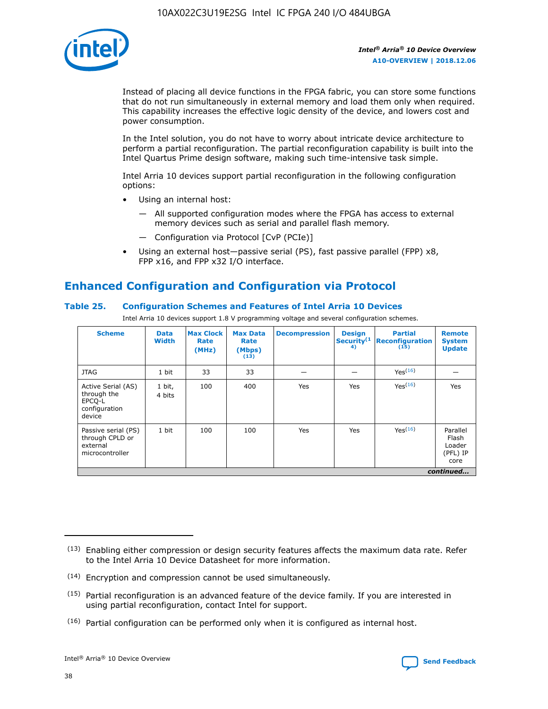

Instead of placing all device functions in the FPGA fabric, you can store some functions that do not run simultaneously in external memory and load them only when required. This capability increases the effective logic density of the device, and lowers cost and power consumption.

In the Intel solution, you do not have to worry about intricate device architecture to perform a partial reconfiguration. The partial reconfiguration capability is built into the Intel Quartus Prime design software, making such time-intensive task simple.

Intel Arria 10 devices support partial reconfiguration in the following configuration options:

- Using an internal host:
	- All supported configuration modes where the FPGA has access to external memory devices such as serial and parallel flash memory.
	- Configuration via Protocol [CvP (PCIe)]
- Using an external host—passive serial (PS), fast passive parallel (FPP) x8, FPP x16, and FPP x32 I/O interface.

# **Enhanced Configuration and Configuration via Protocol**

## **Table 25. Configuration Schemes and Features of Intel Arria 10 Devices**

Intel Arria 10 devices support 1.8 V programming voltage and several configuration schemes.

| <b>Scheme</b>                                                          | <b>Data</b><br><b>Width</b> | <b>Max Clock</b><br>Rate<br>(MHz) | <b>Max Data</b><br>Rate<br>(Mbps)<br>(13) | <b>Decompression</b> | <b>Design</b><br>Security <sup>(1</sup><br>4) | <b>Partial</b><br>Reconfiguration<br>(15) | <b>Remote</b><br><b>System</b><br><b>Update</b> |
|------------------------------------------------------------------------|-----------------------------|-----------------------------------|-------------------------------------------|----------------------|-----------------------------------------------|-------------------------------------------|-------------------------------------------------|
| <b>JTAG</b>                                                            | 1 bit                       | 33                                | 33                                        |                      |                                               | Yes <sup>(16)</sup>                       |                                                 |
| Active Serial (AS)<br>through the<br>EPCO-L<br>configuration<br>device | 1 bit,<br>4 bits            | 100                               | 400                                       | Yes                  | Yes                                           | $Y_{PS}(16)$                              | Yes                                             |
| Passive serial (PS)<br>through CPLD or<br>external<br>microcontroller  | 1 bit                       | 100                               | 100                                       | Yes                  | Yes                                           | Yes(16)                                   | Parallel<br>Flash<br>Loader<br>(PFL) IP<br>core |
|                                                                        |                             |                                   |                                           |                      |                                               |                                           | continued                                       |

<sup>(13)</sup> Enabling either compression or design security features affects the maximum data rate. Refer to the Intel Arria 10 Device Datasheet for more information.

<sup>(14)</sup> Encryption and compression cannot be used simultaneously.

 $<sup>(15)</sup>$  Partial reconfiguration is an advanced feature of the device family. If you are interested in</sup> using partial reconfiguration, contact Intel for support.

 $(16)$  Partial configuration can be performed only when it is configured as internal host.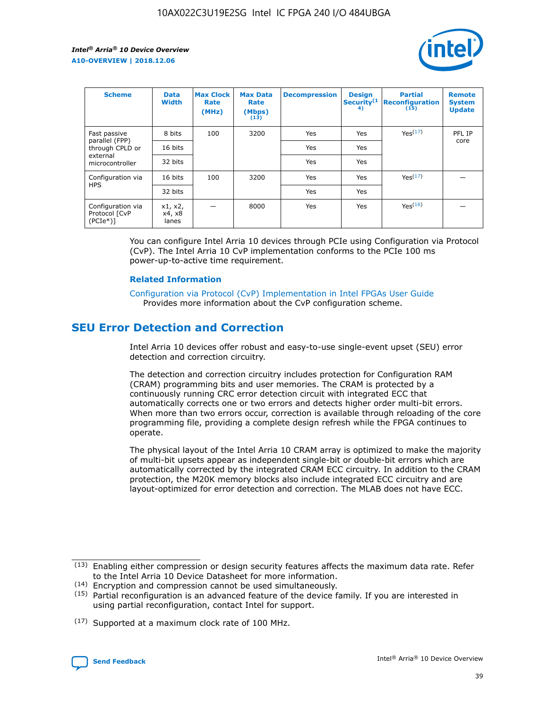

| <b>Scheme</b>                                    | <b>Data</b><br><b>Width</b> | <b>Max Clock</b><br>Rate<br>(MHz) | <b>Max Data</b><br>Rate<br>(Mbps)<br>(13) | <b>Decompression</b> | <b>Design</b><br>Security <sup>(1</sup><br>4) | <b>Partial</b><br><b>Reconfiguration</b><br>(15) | <b>Remote</b><br><b>System</b><br><b>Update</b> |
|--------------------------------------------------|-----------------------------|-----------------------------------|-------------------------------------------|----------------------|-----------------------------------------------|--------------------------------------------------|-------------------------------------------------|
| Fast passive                                     | 8 bits                      | 100                               | 3200                                      | <b>Yes</b>           | Yes                                           | Yes(17)                                          | PFL IP                                          |
| parallel (FPP)<br>through CPLD or                | 16 bits                     |                                   |                                           | Yes                  | Yes                                           |                                                  | core                                            |
| external<br>microcontroller                      | 32 bits                     |                                   |                                           | Yes                  | Yes                                           |                                                  |                                                 |
| Configuration via                                | 16 bits                     | 100                               | 3200                                      | Yes                  | Yes                                           | Yes <sup>(17)</sup>                              |                                                 |
| <b>HPS</b>                                       | 32 bits                     |                                   |                                           | Yes                  | Yes                                           |                                                  |                                                 |
| Configuration via<br>Protocol [CvP<br>$(PCIe^*)$ | x1, x2,<br>x4, x8<br>lanes  |                                   | 8000                                      | Yes                  | Yes                                           | Yes <sup>(16)</sup>                              |                                                 |

You can configure Intel Arria 10 devices through PCIe using Configuration via Protocol (CvP). The Intel Arria 10 CvP implementation conforms to the PCIe 100 ms power-up-to-active time requirement.

#### **Related Information**

[Configuration via Protocol \(CvP\) Implementation in Intel FPGAs User Guide](https://www.intel.com/content/www/us/en/programmable/documentation/dsu1441819344145.html#dsu1442269728522) Provides more information about the CvP configuration scheme.

# **SEU Error Detection and Correction**

Intel Arria 10 devices offer robust and easy-to-use single-event upset (SEU) error detection and correction circuitry.

The detection and correction circuitry includes protection for Configuration RAM (CRAM) programming bits and user memories. The CRAM is protected by a continuously running CRC error detection circuit with integrated ECC that automatically corrects one or two errors and detects higher order multi-bit errors. When more than two errors occur, correction is available through reloading of the core programming file, providing a complete design refresh while the FPGA continues to operate.

The physical layout of the Intel Arria 10 CRAM array is optimized to make the majority of multi-bit upsets appear as independent single-bit or double-bit errors which are automatically corrected by the integrated CRAM ECC circuitry. In addition to the CRAM protection, the M20K memory blocks also include integrated ECC circuitry and are layout-optimized for error detection and correction. The MLAB does not have ECC.

(14) Encryption and compression cannot be used simultaneously.

<sup>(17)</sup> Supported at a maximum clock rate of 100 MHz.



 $(13)$  Enabling either compression or design security features affects the maximum data rate. Refer to the Intel Arria 10 Device Datasheet for more information.

 $(15)$  Partial reconfiguration is an advanced feature of the device family. If you are interested in using partial reconfiguration, contact Intel for support.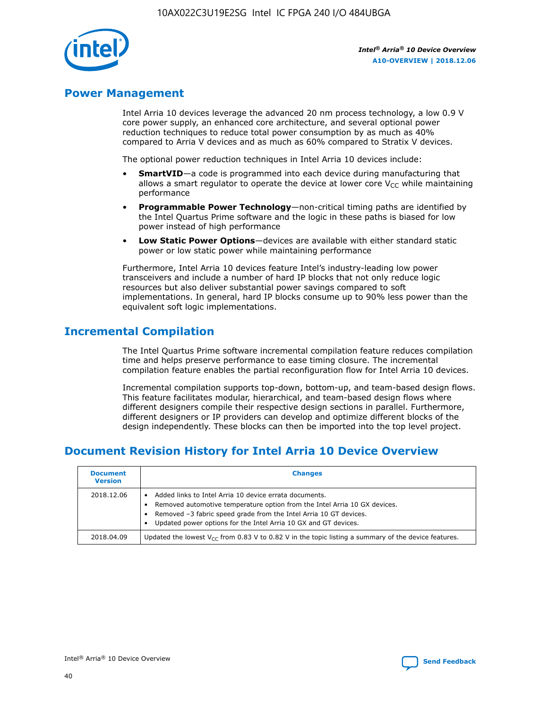

# **Power Management**

Intel Arria 10 devices leverage the advanced 20 nm process technology, a low 0.9 V core power supply, an enhanced core architecture, and several optional power reduction techniques to reduce total power consumption by as much as 40% compared to Arria V devices and as much as 60% compared to Stratix V devices.

The optional power reduction techniques in Intel Arria 10 devices include:

- **SmartVID**—a code is programmed into each device during manufacturing that allows a smart regulator to operate the device at lower core  $V_{CC}$  while maintaining performance
- **Programmable Power Technology**—non-critical timing paths are identified by the Intel Quartus Prime software and the logic in these paths is biased for low power instead of high performance
- **Low Static Power Options**—devices are available with either standard static power or low static power while maintaining performance

Furthermore, Intel Arria 10 devices feature Intel's industry-leading low power transceivers and include a number of hard IP blocks that not only reduce logic resources but also deliver substantial power savings compared to soft implementations. In general, hard IP blocks consume up to 90% less power than the equivalent soft logic implementations.

# **Incremental Compilation**

The Intel Quartus Prime software incremental compilation feature reduces compilation time and helps preserve performance to ease timing closure. The incremental compilation feature enables the partial reconfiguration flow for Intel Arria 10 devices.

Incremental compilation supports top-down, bottom-up, and team-based design flows. This feature facilitates modular, hierarchical, and team-based design flows where different designers compile their respective design sections in parallel. Furthermore, different designers or IP providers can develop and optimize different blocks of the design independently. These blocks can then be imported into the top level project.

# **Document Revision History for Intel Arria 10 Device Overview**

| <b>Document</b><br><b>Version</b> | <b>Changes</b>                                                                                                                                                                                                                                                              |
|-----------------------------------|-----------------------------------------------------------------------------------------------------------------------------------------------------------------------------------------------------------------------------------------------------------------------------|
| 2018.12.06                        | Added links to Intel Arria 10 device errata documents.<br>Removed automotive temperature option from the Intel Arria 10 GX devices.<br>Removed -3 fabric speed grade from the Intel Arria 10 GT devices.<br>Updated power options for the Intel Arria 10 GX and GT devices. |
| 2018.04.09                        | Updated the lowest $V_{CC}$ from 0.83 V to 0.82 V in the topic listing a summary of the device features.                                                                                                                                                                    |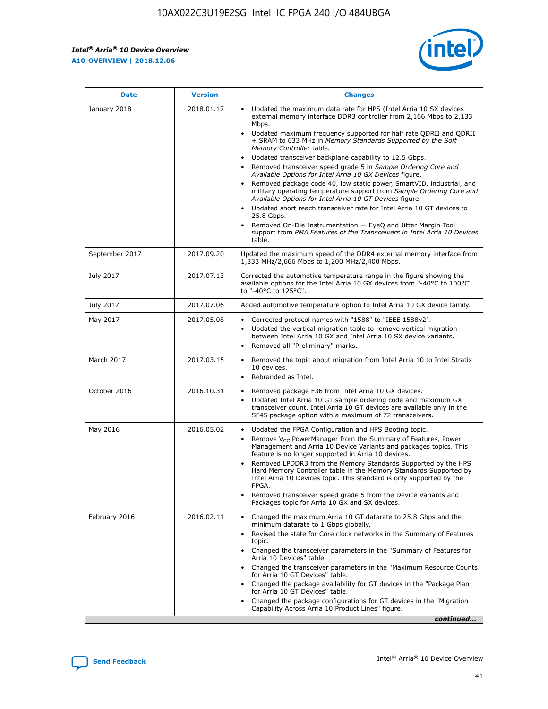$\overline{\phantom{a}}$ 

 $\mathsf{r}$ 



| January 2018<br>2018.01.17<br>Updated the maximum data rate for HPS (Intel Arria 10 SX devices<br>Mbps.<br>$\bullet$<br>+ SRAM to 633 MHz in Memory Standards Supported by the Soft<br>Memory Controller table.<br>Updated transceiver backplane capability to 12.5 Gbps.<br>$\bullet$<br>Removed transceiver speed grade 5 in Sample Ordering Core and<br>Available Options for Intel Arria 10 GX Devices figure.<br>$\bullet$<br>Available Options for Intel Arria 10 GT Devices figure.<br>Updated short reach transceiver rate for Intel Arria 10 GT devices to<br>$\bullet$<br>25.8 Gbps.<br>Removed On-Die Instrumentation - EyeQ and Jitter Margin Tool<br>table.<br>2017.09.20<br>September 2017<br>1,333 MHz/2,666 Mbps to 1,200 MHz/2,400 Mbps.<br>July 2017<br>2017.07.13<br>Corrected the automotive temperature range in the figure showing the<br>to "-40°C to 125°C".<br>July 2017<br>2017.07.06<br>May 2017<br>2017.05.08<br>Corrected protocol names with "1588" to "IEEE 1588v2".<br>$\bullet$<br>Updated the vertical migration table to remove vertical migration<br>$\bullet$<br>between Intel Arria 10 GX and Intel Arria 10 SX device variants.<br>Removed all "Preliminary" marks.<br>2017.03.15<br>March 2017<br>$\bullet$<br>10 devices.<br>Rebranded as Intel.<br>$\bullet$<br>October 2016<br>2016.10.31<br>Removed package F36 from Intel Arria 10 GX devices.<br>Updated Intel Arria 10 GT sample ordering code and maximum GX<br>$\bullet$<br>transceiver count. Intel Arria 10 GT devices are available only in the<br>SF45 package option with a maximum of 72 transceivers.<br>May 2016<br>2016.05.02<br>Updated the FPGA Configuration and HPS Booting topic.<br>$\bullet$<br>Remove $V_{CC}$ PowerManager from the Summary of Features, Power<br>Management and Arria 10 Device Variants and packages topics. This<br>feature is no longer supported in Arria 10 devices.<br>$\bullet$<br>Intel Arria 10 Devices topic. This standard is only supported by the<br>FPGA.<br>Removed transceiver speed grade 5 from the Device Variants and<br>Packages topic for Arria 10 GX and SX devices.<br>Changed the maximum Arria 10 GT datarate to 25.8 Gbps and the<br>February 2016<br>2016.02.11<br>$\bullet$<br>minimum datarate to 1 Gbps globally.<br>$\bullet$<br>topic.<br>Arria 10 Devices" table.<br>for Arria 10 GT Devices" table.<br>• Changed the package availability for GT devices in the "Package Plan<br>for Arria 10 GT Devices" table.<br>• Changed the package configurations for GT devices in the "Migration"<br>Capability Across Arria 10 Product Lines" figure. | <b>Date</b> | <b>Version</b> | <b>Changes</b>                                                                                                                                                                                                                                                                                                                                                     |
|------------------------------------------------------------------------------------------------------------------------------------------------------------------------------------------------------------------------------------------------------------------------------------------------------------------------------------------------------------------------------------------------------------------------------------------------------------------------------------------------------------------------------------------------------------------------------------------------------------------------------------------------------------------------------------------------------------------------------------------------------------------------------------------------------------------------------------------------------------------------------------------------------------------------------------------------------------------------------------------------------------------------------------------------------------------------------------------------------------------------------------------------------------------------------------------------------------------------------------------------------------------------------------------------------------------------------------------------------------------------------------------------------------------------------------------------------------------------------------------------------------------------------------------------------------------------------------------------------------------------------------------------------------------------------------------------------------------------------------------------------------------------------------------------------------------------------------------------------------------------------------------------------------------------------------------------------------------------------------------------------------------------------------------------------------------------------------------------------------------------------------------------------------------------------------------------------------------------------------------------------------------------------------------------------------------------------------------------------------------------------------------------------------------------------------------------------------------------------------------------------------------------------------------------------------------------------------------------------------------------|-------------|----------------|--------------------------------------------------------------------------------------------------------------------------------------------------------------------------------------------------------------------------------------------------------------------------------------------------------------------------------------------------------------------|
|                                                                                                                                                                                                                                                                                                                                                                                                                                                                                                                                                                                                                                                                                                                                                                                                                                                                                                                                                                                                                                                                                                                                                                                                                                                                                                                                                                                                                                                                                                                                                                                                                                                                                                                                                                                                                                                                                                                                                                                                                                                                                                                                                                                                                                                                                                                                                                                                                                                                                                                                                                                                                        |             |                | external memory interface DDR3 controller from 2,166 Mbps to 2,133<br>Updated maximum frequency supported for half rate QDRII and QDRII<br>Removed package code 40, low static power, SmartVID, industrial, and<br>military operating temperature support from Sample Ordering Core and<br>support from PMA Features of the Transceivers in Intel Arria 10 Devices |
|                                                                                                                                                                                                                                                                                                                                                                                                                                                                                                                                                                                                                                                                                                                                                                                                                                                                                                                                                                                                                                                                                                                                                                                                                                                                                                                                                                                                                                                                                                                                                                                                                                                                                                                                                                                                                                                                                                                                                                                                                                                                                                                                                                                                                                                                                                                                                                                                                                                                                                                                                                                                                        |             |                | Updated the maximum speed of the DDR4 external memory interface from                                                                                                                                                                                                                                                                                               |
|                                                                                                                                                                                                                                                                                                                                                                                                                                                                                                                                                                                                                                                                                                                                                                                                                                                                                                                                                                                                                                                                                                                                                                                                                                                                                                                                                                                                                                                                                                                                                                                                                                                                                                                                                                                                                                                                                                                                                                                                                                                                                                                                                                                                                                                                                                                                                                                                                                                                                                                                                                                                                        |             |                | available options for the Intel Arria 10 GX devices from "-40°C to 100°C"                                                                                                                                                                                                                                                                                          |
|                                                                                                                                                                                                                                                                                                                                                                                                                                                                                                                                                                                                                                                                                                                                                                                                                                                                                                                                                                                                                                                                                                                                                                                                                                                                                                                                                                                                                                                                                                                                                                                                                                                                                                                                                                                                                                                                                                                                                                                                                                                                                                                                                                                                                                                                                                                                                                                                                                                                                                                                                                                                                        |             |                | Added automotive temperature option to Intel Arria 10 GX device family.                                                                                                                                                                                                                                                                                            |
|                                                                                                                                                                                                                                                                                                                                                                                                                                                                                                                                                                                                                                                                                                                                                                                                                                                                                                                                                                                                                                                                                                                                                                                                                                                                                                                                                                                                                                                                                                                                                                                                                                                                                                                                                                                                                                                                                                                                                                                                                                                                                                                                                                                                                                                                                                                                                                                                                                                                                                                                                                                                                        |             |                |                                                                                                                                                                                                                                                                                                                                                                    |
|                                                                                                                                                                                                                                                                                                                                                                                                                                                                                                                                                                                                                                                                                                                                                                                                                                                                                                                                                                                                                                                                                                                                                                                                                                                                                                                                                                                                                                                                                                                                                                                                                                                                                                                                                                                                                                                                                                                                                                                                                                                                                                                                                                                                                                                                                                                                                                                                                                                                                                                                                                                                                        |             |                | Removed the topic about migration from Intel Arria 10 to Intel Stratix                                                                                                                                                                                                                                                                                             |
|                                                                                                                                                                                                                                                                                                                                                                                                                                                                                                                                                                                                                                                                                                                                                                                                                                                                                                                                                                                                                                                                                                                                                                                                                                                                                                                                                                                                                                                                                                                                                                                                                                                                                                                                                                                                                                                                                                                                                                                                                                                                                                                                                                                                                                                                                                                                                                                                                                                                                                                                                                                                                        |             |                |                                                                                                                                                                                                                                                                                                                                                                    |
|                                                                                                                                                                                                                                                                                                                                                                                                                                                                                                                                                                                                                                                                                                                                                                                                                                                                                                                                                                                                                                                                                                                                                                                                                                                                                                                                                                                                                                                                                                                                                                                                                                                                                                                                                                                                                                                                                                                                                                                                                                                                                                                                                                                                                                                                                                                                                                                                                                                                                                                                                                                                                        |             |                | Removed LPDDR3 from the Memory Standards Supported by the HPS<br>Hard Memory Controller table in the Memory Standards Supported by                                                                                                                                                                                                                                 |
|                                                                                                                                                                                                                                                                                                                                                                                                                                                                                                                                                                                                                                                                                                                                                                                                                                                                                                                                                                                                                                                                                                                                                                                                                                                                                                                                                                                                                                                                                                                                                                                                                                                                                                                                                                                                                                                                                                                                                                                                                                                                                                                                                                                                                                                                                                                                                                                                                                                                                                                                                                                                                        |             |                | Revised the state for Core clock networks in the Summary of Features<br>• Changed the transceiver parameters in the "Summary of Features for<br>• Changed the transceiver parameters in the "Maximum Resource Counts"<br>continued                                                                                                                                 |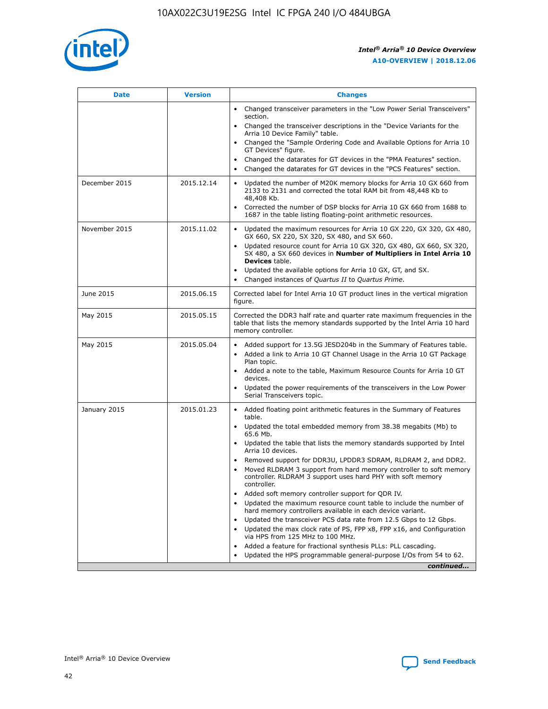

| <b>Date</b>   | <b>Version</b> | <b>Changes</b>                                                                                                                                                               |
|---------------|----------------|------------------------------------------------------------------------------------------------------------------------------------------------------------------------------|
|               |                | • Changed transceiver parameters in the "Low Power Serial Transceivers"<br>section.                                                                                          |
|               |                | • Changed the transceiver descriptions in the "Device Variants for the<br>Arria 10 Device Family" table.                                                                     |
|               |                | Changed the "Sample Ordering Code and Available Options for Arria 10<br>$\bullet$<br>GT Devices" figure.                                                                     |
|               |                | Changed the datarates for GT devices in the "PMA Features" section.                                                                                                          |
|               |                | Changed the datarates for GT devices in the "PCS Features" section.<br>$\bullet$                                                                                             |
| December 2015 | 2015.12.14     | Updated the number of M20K memory blocks for Arria 10 GX 660 from<br>2133 to 2131 and corrected the total RAM bit from 48,448 Kb to<br>48,408 Kb.                            |
|               |                | Corrected the number of DSP blocks for Arria 10 GX 660 from 1688 to<br>1687 in the table listing floating-point arithmetic resources.                                        |
| November 2015 | 2015.11.02     | Updated the maximum resources for Arria 10 GX 220, GX 320, GX 480,<br>$\bullet$<br>GX 660, SX 220, SX 320, SX 480, and SX 660.                                               |
|               |                | • Updated resource count for Arria 10 GX 320, GX 480, GX 660, SX 320,<br>SX 480, a SX 660 devices in Number of Multipliers in Intel Arria 10<br><b>Devices</b> table.        |
|               |                | Updated the available options for Arria 10 GX, GT, and SX.                                                                                                                   |
|               |                | Changed instances of Quartus II to Quartus Prime.<br>$\bullet$                                                                                                               |
| June 2015     | 2015.06.15     | Corrected label for Intel Arria 10 GT product lines in the vertical migration<br>figure.                                                                                     |
| May 2015      | 2015.05.15     | Corrected the DDR3 half rate and quarter rate maximum frequencies in the<br>table that lists the memory standards supported by the Intel Arria 10 hard<br>memory controller. |
| May 2015      | 2015.05.04     | • Added support for 13.5G JESD204b in the Summary of Features table.                                                                                                         |
|               |                | • Added a link to Arria 10 GT Channel Usage in the Arria 10 GT Package<br>Plan topic.                                                                                        |
|               |                | • Added a note to the table, Maximum Resource Counts for Arria 10 GT<br>devices.                                                                                             |
|               |                | • Updated the power requirements of the transceivers in the Low Power<br>Serial Transceivers topic.                                                                          |
| January 2015  | 2015.01.23     | • Added floating point arithmetic features in the Summary of Features<br>table.                                                                                              |
|               |                | • Updated the total embedded memory from 38.38 megabits (Mb) to<br>65.6 Mb.                                                                                                  |
|               |                | • Updated the table that lists the memory standards supported by Intel<br>Arria 10 devices.                                                                                  |
|               |                | Removed support for DDR3U, LPDDR3 SDRAM, RLDRAM 2, and DDR2.                                                                                                                 |
|               |                | Moved RLDRAM 3 support from hard memory controller to soft memory<br>controller. RLDRAM 3 support uses hard PHY with soft memory<br>controller.                              |
|               |                | Added soft memory controller support for QDR IV.<br>٠                                                                                                                        |
|               |                | Updated the maximum resource count table to include the number of<br>hard memory controllers available in each device variant.                                               |
|               |                | Updated the transceiver PCS data rate from 12.5 Gbps to 12 Gbps.<br>$\bullet$                                                                                                |
|               |                | Updated the max clock rate of PS, FPP x8, FPP x16, and Configuration<br>via HPS from 125 MHz to 100 MHz.                                                                     |
|               |                | Added a feature for fractional synthesis PLLs: PLL cascading.                                                                                                                |
|               |                | Updated the HPS programmable general-purpose I/Os from 54 to 62.<br>$\bullet$                                                                                                |
|               |                | continued                                                                                                                                                                    |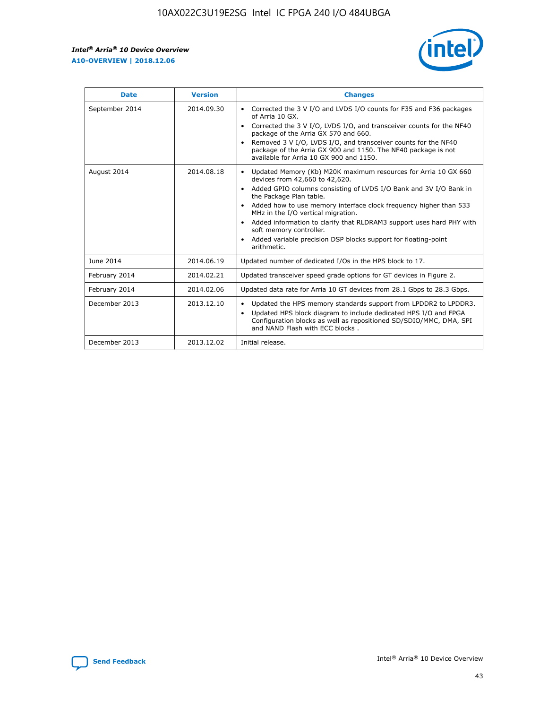r



| <b>Date</b>    | <b>Version</b> | <b>Changes</b>                                                                                                                                                                                                                                                                                                                                                                                                                                                                                                                         |
|----------------|----------------|----------------------------------------------------------------------------------------------------------------------------------------------------------------------------------------------------------------------------------------------------------------------------------------------------------------------------------------------------------------------------------------------------------------------------------------------------------------------------------------------------------------------------------------|
| September 2014 | 2014.09.30     | Corrected the 3 V I/O and LVDS I/O counts for F35 and F36 packages<br>of Arria 10 GX.<br>Corrected the 3 V I/O, LVDS I/O, and transceiver counts for the NF40<br>$\bullet$<br>package of the Arria GX 570 and 660.<br>Removed 3 V I/O, LVDS I/O, and transceiver counts for the NF40<br>package of the Arria GX 900 and 1150. The NF40 package is not<br>available for Arria 10 GX 900 and 1150.                                                                                                                                       |
| August 2014    | 2014.08.18     | Updated Memory (Kb) M20K maximum resources for Arria 10 GX 660<br>devices from 42,660 to 42,620.<br>Added GPIO columns consisting of LVDS I/O Bank and 3V I/O Bank in<br>$\bullet$<br>the Package Plan table.<br>Added how to use memory interface clock frequency higher than 533<br>$\bullet$<br>MHz in the I/O vertical migration.<br>Added information to clarify that RLDRAM3 support uses hard PHY with<br>$\bullet$<br>soft memory controller.<br>Added variable precision DSP blocks support for floating-point<br>arithmetic. |
| June 2014      | 2014.06.19     | Updated number of dedicated I/Os in the HPS block to 17.                                                                                                                                                                                                                                                                                                                                                                                                                                                                               |
| February 2014  | 2014.02.21     | Updated transceiver speed grade options for GT devices in Figure 2.                                                                                                                                                                                                                                                                                                                                                                                                                                                                    |
| February 2014  | 2014.02.06     | Updated data rate for Arria 10 GT devices from 28.1 Gbps to 28.3 Gbps.                                                                                                                                                                                                                                                                                                                                                                                                                                                                 |
| December 2013  | 2013.12.10     | Updated the HPS memory standards support from LPDDR2 to LPDDR3.<br>Updated HPS block diagram to include dedicated HPS I/O and FPGA<br>$\bullet$<br>Configuration blocks as well as repositioned SD/SDIO/MMC, DMA, SPI<br>and NAND Flash with ECC blocks.                                                                                                                                                                                                                                                                               |
| December 2013  | 2013.12.02     | Initial release.                                                                                                                                                                                                                                                                                                                                                                                                                                                                                                                       |